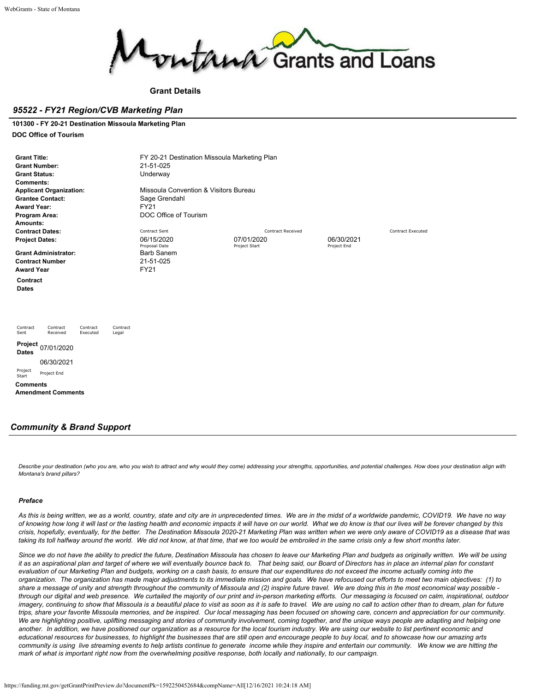

## **Grant Details**

## *95522 - FY21 Region/CVB Marketing Plan*

#### **101300 - FY 20-21 Destination Missoula Marketing Plan**

#### **DOC Office of Tourism**

| <b>Grant Title:</b><br><b>Grant Number:</b><br><b>Grant Status:</b><br><b>Comments:</b><br><b>Applicant Organization:</b><br><b>Grantee Contact:</b><br><b>Award Year:</b><br>Program Area:<br>Amounts: | FY 20-21 Destination Missoula Marketing Plan<br>21-51-025<br>Underway<br>Missoula Convention & Visitors Bureau<br>Sage Grendahl<br><b>FY21</b><br>DOC Office of Tourism |                          |                          |  |
|---------------------------------------------------------------------------------------------------------------------------------------------------------------------------------------------------------|-------------------------------------------------------------------------------------------------------------------------------------------------------------------------|--------------------------|--------------------------|--|
| <b>Contract Dates:</b>                                                                                                                                                                                  | Contract Sent                                                                                                                                                           | <b>Contract Received</b> | <b>Contract Executed</b> |  |
| <b>Project Dates:</b>                                                                                                                                                                                   | 06/15/2020                                                                                                                                                              | 07/01/2020               | 06/30/2021               |  |
|                                                                                                                                                                                                         | Proposal Date                                                                                                                                                           | Project Start            | Project End              |  |
| <b>Grant Administrator:</b>                                                                                                                                                                             | <b>Barb Sanem</b><br>21-51-025                                                                                                                                          |                          |                          |  |
| <b>Contract Number</b><br><b>Award Year</b>                                                                                                                                                             | <b>FY21</b>                                                                                                                                                             |                          |                          |  |
|                                                                                                                                                                                                         |                                                                                                                                                                         |                          |                          |  |
| Contract<br><b>Dates</b>                                                                                                                                                                                |                                                                                                                                                                         |                          |                          |  |
| Contract<br>Contract<br>Contract<br>Contract<br>Received<br>Sent<br>Executed<br>Legal                                                                                                                   |                                                                                                                                                                         |                          |                          |  |
| Project<br>07/01/2020<br><b>Dates</b>                                                                                                                                                                   |                                                                                                                                                                         |                          |                          |  |
| 06/30/2021                                                                                                                                                                                              |                                                                                                                                                                         |                          |                          |  |
| Project<br>Project End<br>Start                                                                                                                                                                         |                                                                                                                                                                         |                          |                          |  |
| <b>Comments</b>                                                                                                                                                                                         |                                                                                                                                                                         |                          |                          |  |
| <b>Amendment Comments</b>                                                                                                                                                                               |                                                                                                                                                                         |                          |                          |  |
|                                                                                                                                                                                                         |                                                                                                                                                                         |                          |                          |  |
|                                                                                                                                                                                                         |                                                                                                                                                                         |                          |                          |  |

## *Community & Brand Support*

*Describe your destination (who you are, who you wish to attract and why would they come) addressing your strengths, opportunities, and potential challenges. How does your destination align with Montana's brand pillars?*

#### *Preface*

*As this is being written, we as a world, country, state and city are in unprecedented times. We are in the midst of a worldwide pandemic, COVID19. We have no way of knowing how long it will last or the lasting health and economic impacts it will have on our world. What we do know is that our lives will be forever changed by this crisis, hopefully, eventually, for the better. The Destination Missoula 2020-21 Marketing Plan was written when we were only aware of COVID19 as a disease that was taking its toll halfway around the world. We did not know, at that time, that we too would be embroiled in the same crisis only a few short months later.*

*Since we do not have the ability to predict the future, Destination Missoula has chosen to leave our Marketing Plan and budgets as originally written. We will be using it as an aspirational plan and target of where we will eventually bounce back to. That being said, our Board of Directors has in place an internal plan for constant evaluation of our Marketing Plan and budgets, working on a cash basis, to ensure that our expenditures do not exceed the income actually coming into the organization. The organization has made major adjustments to its immediate mission and goals. We have refocused our efforts to meet two main objectives: (1) to share a message of unity and strength throughout the community of Missoula and (2) inspire future travel. We are doing this in the most economical way possible through our digital and web presence. We curtailed the majority of our print and in-person marketing efforts. Our messaging is focused on calm, inspirational, outdoor imagery, continuing to show that Missoula is a beautiful place to visit as soon as it is safe to travel. We are using no call to action other than to dream, plan for future trips, share your favorite Missoula memories, and be inspired. Our local messaging has been focused on showing care, concern and appreciation for our community. We are highlighting positive, uplifting messaging and stories of community involvement, coming together, and the unique ways people are adapting and helping one another. In addition, we have positioned our organization as a resource for the local tourism industry. We are using our website to list pertinent economic and educational resources for businesses, to highlight the businesses that are still open and encourage people to buy local, and to showcase how our amazing arts community is using live streaming events to help artists continue to generate income while they inspire and entertain our community. We know we are hitting the mark of what is important right now from the overwhelming positive response, both locally and nationally, to our campaign.*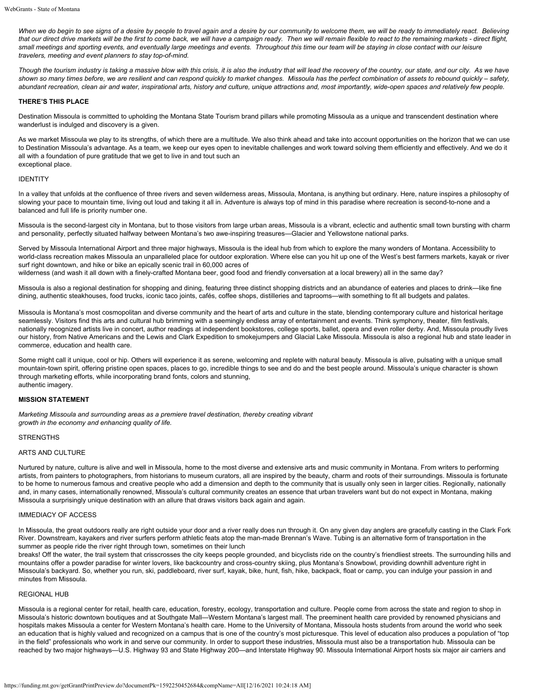*When we do begin to see signs of a desire by people to travel again and a desire by our community to welcome them, we will be ready to immediately react. Believing that our direct drive markets will be the first to come back, we will have a campaign ready. Then we will remain flexible to react to the remaining markets - direct flight, small meetings and sporting events, and eventually large meetings and events. Throughout this time our team will be staying in close contact with our leisure travelers, meeting and event planners to stay top-of-mind.*

*Though the tourism industry is taking a massive blow with this crisis, it is also the industry that will lead the recovery of the country, our state, and our city. As we have shown so many times before, we are resilient and can respond quickly to market changes. Missoula has the perfect combination of assets to rebound quickly – safety, abundant recreation, clean air and water, inspirational arts, history and culture, unique attractions and, most importantly, wide-open spaces and relatively few people.*

#### **THERE'S THIS PLACE**

Destination Missoula is committed to upholding the Montana State Tourism brand pillars while promoting Missoula as a unique and transcendent destination where wanderlust is indulged and discovery is a given.

As we market Missoula we play to its strengths, of which there are a multitude. We also think ahead and take into account opportunities on the horizon that we can use to Destination Missoula's advantage. As a team, we keep our eyes open to inevitable challenges and work toward solving them efficiently and effectively. And we do it all with a foundation of pure gratitude that we get to live in and tout such an exceptional place.

#### IDENTITY

In a valley that unfolds at the confluence of three rivers and seven wilderness areas, Missoula, Montana, is anything but ordinary. Here, nature inspires a philosophy of slowing your pace to mountain time, living out loud and taking it all in. Adventure is always top of mind in this paradise where recreation is second-to-none and a balanced and full life is priority number one.

Missoula is the second-largest city in Montana, but to those visitors from large urban areas, Missoula is a vibrant, eclectic and authentic small town bursting with charm and personality, perfectly situated halfway between Montana's two awe-inspiring treasures—Glacier and Yellowstone national parks.

Served by Missoula International Airport and three major highways, Missoula is the ideal hub from which to explore the many wonders of Montana. Accessibility to world-class recreation makes Missoula an unparalleled place for outdoor exploration. Where else can you hit up one of the West's best farmers markets, kayak or river surf right downtown, and hike or bike an epically scenic trail in 60,000 acres of wilderness (and wash it all down with a finely-crafted Montana beer, good food and friendly conversation at a local brewery) all in the same day?

Missoula is also a regional destination for shopping and dining, featuring three distinct shopping districts and an abundance of eateries and places to drink—like fine dining, authentic steakhouses, food trucks, iconic taco joints, cafés, coffee shops, distilleries and taprooms—with something to fit all budgets and palates.

Missoula is Montana's most cosmopolitan and diverse community and the heart of arts and culture in the state, blending contemporary culture and historical heritage seamlessly. Visitors find this arts and cultural hub brimming with a seemingly endless array of entertainment and events. Think symphony, theater, film festivals, nationally recognized artists live in concert, author readings at independent bookstores, college sports, ballet, opera and even roller derby. And, Missoula proudly lives our history, from Native Americans and the Lewis and Clark Expedition to smokejumpers and Glacial Lake Missoula. Missoula is also a regional hub and state leader in commerce, education and health care.

Some might call it unique, cool or hip. Others will experience it as serene, welcoming and replete with natural beauty. Missoula is alive, pulsating with a unique small mountain-town spirit, offering pristine open spaces, places to go, incredible things to see and do and the best people around. Missoula's unique character is shown through marketing efforts, while incorporating brand fonts, colors and stunning, authentic imagery.

#### **MISSION STATEMENT**

*Marketing Missoula and surrounding areas as a premiere travel destination, thereby creating vibrant growth in the economy and enhancing quality of life.*

#### STRENGTHS

### ARTS AND CULTURE

Nurtured by nature, culture is alive and well in Missoula, home to the most diverse and extensive arts and music community in Montana. From writers to performing artists, from painters to photographers, from historians to museum curators, all are inspired by the beauty, charm and roots of their surroundings. Missoula is fortunate to be home to numerous famous and creative people who add a dimension and depth to the community that is usually only seen in larger cities. Regionally, nationally and, in many cases, internationally renowned, Missoula's cultural community creates an essence that urban travelers want but do not expect in Montana, making Missoula a surprisingly unique destination with an allure that draws visitors back again and again.

#### IMMEDIACY OF ACCESS

In Missoula, the great outdoors really are right outside your door and a river really does run through it. On any given day anglers are gracefully casting in the Clark Fork River. Downstream, kayakers and river surfers perform athletic feats atop the man-made Brennan's Wave. Tubing is an alternative form of transportation in the summer as people ride the river right through town, sometimes on their lunch

breaks! Off the water, the trail system that crisscrosses the city keeps people grounded, and bicyclists ride on the country's friendliest streets. The surrounding hills and mountains offer a powder paradise for winter lovers, like backcountry and cross-country skiing, plus Montana's Snowbowl, providing downhill adventure right in Missoula's backyard. So, whether you run, ski, paddleboard, river surf, kayak, bike, hunt, fish, hike, backpack, float or camp, you can indulge your passion in and minutes from Missoula.

#### REGIONAL HUB

Missoula is a regional center for retail, health care, education, forestry, ecology, transportation and culture. People come from across the state and region to shop in Missoula's historic downtown boutiques and at Southgate Mall—Western Montana's largest mall. The preeminent health care provided by renowned physicians and hospitals makes Missoula a center for Western Montana's health care. Home to the University of Montana, Missoula hosts students from around the world who seek an education that is highly valued and recognized on a campus that is one of the country's most picturesque. This level of education also produces a population of "top in the field" professionals who work in and serve our community. In order to support these industries, Missoula must also be a transportation hub. Missoula can be reached by two major highways—U.S. Highway 93 and State Highway 200—and Interstate Highway 90. Missoula International Airport hosts six major air carriers and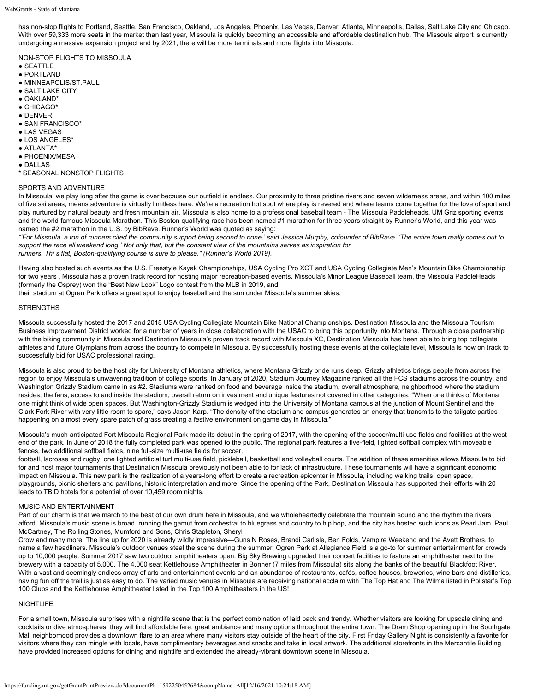has non-stop flights to Portland, Seattle, San Francisco, Oakland, Los Angeles, Phoenix, Las Vegas, Denver, Atlanta, Minneapolis, Dallas, Salt Lake City and Chicago. With over 59,333 more seats in the market than last year, Missoula is quickly becoming an accessible and affordable destination hub. The Missoula airport is currently undergoing a massive expansion project and by 2021, there will be more terminals and more flights into Missoula.

NON-STOP FLIGHTS TO MISSOULA

- SEATTLE
- PORTLAND
- MINNEAPOLIS/ST.PAUL
- **SALT LAKE CITY**
- OAKLAND\*
- CHICAGO\*
- DENVER
- SAN FRANCISCO\*
- LAS VEGAS
- LOS ANGELES\*
- ATLANTA\*
- PHOENIX/MESA
- DALLAS
- 
- \* SEASONAL NONSTOP FLIGHTS

## SPORTS AND ADVENTURE

In Missoula, we play long after the game is over because our outfield is endless. Our proximity to three pristine rivers and seven wilderness areas, and within 100 miles of five ski areas, means adventure is virtually limitless here. We're a recreation hot spot where play is revered and where teams come together for the love of sport and play nurtured by natural beauty and fresh mountain air. Missoula is also home to a professional baseball team - The Missoula Paddleheads, UM Griz sporting events and the world-famous Missoula Marathon. This Boston qualifying race has been named #1 marathon for three years straight by Runner's World, and this year was named the #2 marathon in the U.S. by BibRave. Runner's World was quoted as saying:

*"'For Missoula, a ton of runners cited the community support being second to none,' said Jessica Murphy, cofounder of BibRave. 'The entire town really comes out to support the race all weekend long.' Not only that, but the constant view of the mountains serves as inspiration for runners. Thi s flat, Boston-qualifying course is sure to please." (Runner's World 2019).*

Having also hosted such events as the U.S. Freestyle Kayak Championships, USA Cycling Pro XCT and USA Cycling Collegiate Men's Mountain Bike Championship for two years , Missoula has a proven track record for hosting major recreation-based events. Missoula's Minor League Baseball team, the Missoula PaddleHeads (formerly the Osprey) won the "Best New Look" Logo contest from the MLB in 2019, and

their stadium at Ogren Park offers a great spot to enjoy baseball and the sun under Missoula's summer skies.

#### **STRENGTHS**

Missoula successfully hosted the 2017 and 2018 USA Cycling Collegiate Mountain Bike National Championships. Destination Missoula and the Missoula Tourism Business Improvement District worked for a number of years in close collaboration with the USAC to bring this opportunity into Montana. Through a close partnership with the biking community in Missoula and Destination Missoula's proven track record with Missoula XC, Destination Missoula has been able to bring top collegiate athletes and future Olympians from across the country to compete in Missoula. By successfully hosting these events at the collegiate level, Missoula is now on track to successfully bid for USAC professional racing.

Missoula is also proud to be the host city for University of Montana athletics, where Montana Grizzly pride runs deep. Grizzly athletics brings people from across the region to enjoy Missoula's unwavering tradition of college sports. In January of 2020, Stadium Journey Magazine ranked all the FCS stadiums across the country, and Washington Grizzly Stadium came in as #2. Stadiums were ranked on food and beverage inside the stadium, overall atmosphere, neighborhood where the stadium resides, the fans, access to and inside the stadium, overall return on investment and unique features not covered in other categories. "When one thinks of Montana one might think of wide open spaces. But Washington-Grizzly Stadium is wedged into the University of Montana campus at the junction of Mount Sentinel and the Clark Fork River with very little room to spare," says Jason Karp. "The density of the stadium and campus generates an energy that transmits to the tailgate parties happening on almost every spare patch of grass creating a festive environment on game day in Missoula."

Missoula's much-anticipated Fort Missoula Regional Park made its debut in the spring of 2017, with the opening of the soccer/multi-use fields and facilities at the west end of the park. In June of 2018 the fully completed park was opened to the public. The regional park features a five-field, lighted softball complex with moveable fences, two additional softball fields, nine full-size multi-use fields for soccer,

football, lacrosse and rugby, one lighted artificial turf multi-use field, pickleball, basketball and volleyball courts. The addition of these amenities allows Missoula to bid for and host major tournaments that Destination Missoula previously not been able to for lack of infrastructure. These tournaments will have a significant economic impact on Missoula. This new park is the realization of a years-long effort to create a recreation epicenter in Missoula, including walking trails, open space, playgrounds, picnic shelters and pavilions, historic interpretation and more. Since the opening of the Park, Destination Missoula has supported their efforts with 20 leads to TBID hotels for a potential of over 10,459 room nights.

#### MUSIC AND ENTERTAINMENT

Part of our charm is that we march to the beat of our own drum here in Missoula, and we wholeheartedly celebrate the mountain sound and the rhythm the rivers afford. Missoula's music scene is broad, running the gamut from orchestral to bluegrass and country to hip hop, and the city has hosted such icons as Pearl Jam, Paul McCartney, The Rolling Stones, Mumford and Sons, Chris Stapleton, Sheryl

Crow and many more. The line up for 2020 is already wildly impressive—Guns N Roses, Brandi Carlisle, Ben Folds, Vampire Weekend and the Avett Brothers, to name a few headliners. Missoula's outdoor venues steal the scene during the summer. Ogren Park at Allegiance Field is a go-to for summer entertainment for crowds up to 10,000 people. Summer 2017 saw two outdoor amphitheaters open. Big Sky Brewing upgraded their concert facilities to feature an amphitheater next to the brewery with a capacity of 5,000. The 4,000 seat Kettlehouse Amphitheater in Bonner (7 miles from Missoula) sits along the banks of the beautiful Blackfoot River. With a vast and seemingly endless array of arts and entertainment events and an abundance of restaurants, cafés, coffee houses, breweries, wine bars and distilleries, having fun off the trail is just as easy to do. The varied music venues in Missoula are receiving national acclaim with The Top Hat and The Wilma listed in Pollstar's Top 100 Clubs and the Kettlehouse Amphitheater listed in the Top 100 Amphitheaters in the US!

### **NIGHTLIFF**

For a small town, Missoula surprises with a nightlife scene that is the perfect combination of laid back and trendy. Whether visitors are looking for upscale dining and cocktails or dive atmospheres, they will find affordable fare, great ambiance and many options throughout the entire town. The Dram Shop opening up in the Southgate Mall neighborhood provides a downtown flare to an area where many visitors stay outside of the heart of the city. First Friday Gallery Night is consistently a favorite for visitors where they can mingle with locals, have complimentary beverages and snacks and take in local artwork. The additional storefronts in the Mercantile Building have provided increased options for dining and nightlife and extended the already-vibrant downtown scene in Missoula.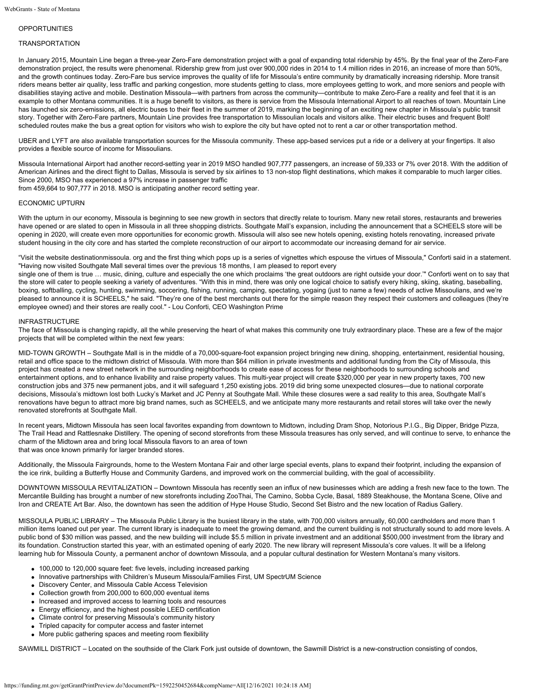## OPPORTUNITIES

## **TRANSPORTATION**

In January 2015, Mountain Line began a three-year Zero-Fare demonstration project with a goal of expanding total ridership by 45%. By the final year of the Zero-Fare demonstration project, the results were phenomenal. Ridership grew from just over 900,000 rides in 2014 to 1.4 million rides in 2016, an increase of more than 50%, and the growth continues today. Zero-Fare bus service improves the quality of life for Missoula's entire community by dramatically increasing ridership. More transit riders means better air quality, less traffic and parking congestion, more students getting to class, more employees getting to work, and more seniors and people with disabilities staying active and mobile. Destination Missoula—with partners from across the community—contribute to make Zero-Fare a reality and feel that it is an example to other Montana communities. It is a huge benefit to visitors, as there is service from the Missoula International Airport to all reaches of town. Mountain Line has launched six zero-emissions, all electric buses to their fleet in the summer of 2019, marking the beginning of an exciting new chapter in Missoula's public transit story. Together with Zero-Fare partners, Mountain Line provides free transportation to Missoulian locals and visitors alike. Their electric buses and frequent Bolt! scheduled routes make the bus a great option for visitors who wish to explore the city but have opted not to rent a car or other transportation method.

UBER and LYFT are also available transportation sources for the Missoula community. These app-based services put a ride or a delivery at your fingertips. It also provides a flexible source of income for Missoulians.

Missoula International Airport had another record-setting year in 2019 MSO handled 907,777 passengers, an increase of 59,333 or 7% over 2018. With the addition of American Airlines and the direct flight to Dallas, Missoula is served by six airlines to 13 non-stop flight destinations, which makes it comparable to much larger cities. Since 2000, MSO has experienced a 97% increase in passenger traffic

from 459,664 to 907,777 in 2018. MSO is anticipating another record setting year.

#### ECONOMIC UPTURN

With the upturn in our economy, Missoula is beginning to see new growth in sectors that directly relate to tourism. Many new retail stores, restaurants and breweries have opened or are slated to open in Missoula in all three shopping districts. Southgate Mall's expansion, including the announcement that a SCHEELS store will be opening in 2020, will create even more opportunities for economic growth. Missoula will also see new hotels opening, existing hotels renovating, increased private student housing in the city core and has started the complete reconstruction of our airport to accommodate our increasing demand for air service.

"Visit the website destinationmissoula. org and the first thing which pops up is a series of vignettes which espouse the virtues of Missoula," Conforti said in a statement. "Having now visited Southgate Mall several times over the previous 18 months, I am pleased to report every

single one of them is true ... music, dining, culture and especially the one which proclaims 'the great outdoors are right outside your door." Conforti went on to say that the store will cater to people seeking a variety of adventures. "With this in mind, there was only one logical choice to satisfy every hiking, skiing, skating, baseballing, boxing, softballing, cycling, hunting, swimming, soccering, fishing, running, camping, spectating, yogaing (just to name a few) needs of active Missoulians, and we're pleased to announce it is SCHEELS," he said. "They're one of the best merchants out there for the simple reason they respect their customers and colleagues (they're employee owned) and their stores are really cool." - Lou Conforti, CEO Washington Prime

#### INFRASTRUCTURE

The face of Missoula is changing rapidly, all the while preserving the heart of what makes this community one truly extraordinary place. These are a few of the major projects that will be completed within the next few years:

MID-TOWN GROWTH – Southgate Mall is in the middle of a 70,000-square-foot expansion project bringing new dining, shopping, entertainment, residential housing, retail and office space to the midtown district of Missoula. With more than \$64 million in private investments and additional funding from the City of Missoula, this project has created a new street network in the surrounding neighborhoods to create ease of access for these neighborhoods to surrounding schools and entertainment options, and to enhance livability and raise property values. This multi-year project will create \$320,000 per year in new property taxes, 700 new construction jobs and 375 new permanent jobs, and it will safeguard 1,250 existing jobs. 2019 did bring some unexpected closures—due to national corporate decisions, Missoula's midtown lost both Lucky's Market and JC Penny at Southgate Mall. While these closures were a sad reality to this area, Southgate Mall's renovations have begun to attract more big brand names, such as SCHEELS, and we anticipate many more restaurants and retail stores will take over the newly renovated storefronts at Southgate Mall.

In recent years, Midtown Missoula has seen local favorites expanding from downtown to Midtown, including Dram Shop, Notorious P.I.G., Big Dipper, Bridge Pizza, The Trail Head and Rattlesnake Distillery. The opening of second storefronts from these Missoula treasures has only served, and will continue to serve, to enhance the charm of the Midtown area and bring local Missoula flavors to an area of town that was once known primarily for larger branded stores.

Additionally, the Missoula Fairgrounds, home to the Western Montana Fair and other large special events, plans to expand their footprint, including the expansion of the ice rink, building a Butterfly House and Community Gardens, and improved work on the commercial building, with the goal of accessibility.

DOWNTOWN MISSOULA REVITALIZATION – Downtown Missoula has recently seen an influx of new businesses which are adding a fresh new face to the town. The Mercantile Building has brought a number of new storefronts including ZooThai, The Camino, Sobba Cycle, Basal, 1889 Steakhouse, the Montana Scene, Olive and Iron and CREATE Art Bar. Also, the downtown has seen the addition of Hype House Studio, Second Set Bistro and the new location of Radius Gallery.

MISSOULA PUBLIC LIBRARY – The Missoula Public Library is the busiest library in the state, with 700,000 visitors annually, 60,000 cardholders and more than 1 million items loaned out per year. The current library is inadequate to meet the growing demand, and the current building is not structurally sound to add more levels. A public bond of \$30 million was passed, and the new building will include \$5.5 million in private investment and an additional \$500,000 investment from the library and its foundation. Construction started this year, with an estimated opening of early 2020. The new library will represent Missoula's core values. It will be a lifelong learning hub for Missoula County, a permanent anchor of downtown Missoula, and a popular cultural destination for Western Montana's many visitors.

- 100,000 to 120,000 square feet: five levels, including increased parking
- Innovative partnerships with Children's Museum Missoula/Families First, UM SpectrUM Science
- Discovery Center, and Missoula Cable Access Television
- Collection growth from 200,000 to 600,000 eventual items
- Increased and improved access to learning tools and resources
- Energy efficiency, and the highest possible LEED certification
- Climate control for preserving Missoula's community history
- Tripled capacity for computer access and faster internet
- More public gathering spaces and meeting room flexibility

SAWMILL DISTRICT – Located on the southside of the Clark Fork just outside of downtown, the Sawmill District is a new-construction consisting of condos,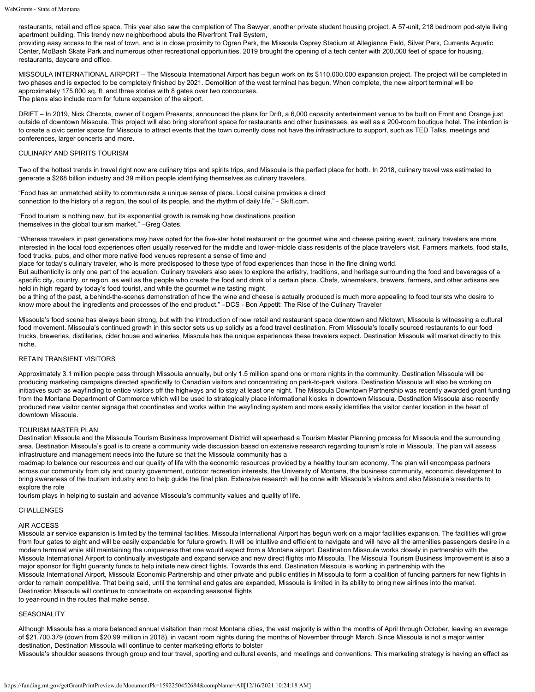restaurants, retail and office space. This year also saw the completion of The Sawyer, another private student housing project. A 57-unit, 218 bedroom pod-style living apartment building. This trendy new neighborhood abuts the Riverfront Trail System,

providing easy access to the rest of town, and is in close proximity to Ogren Park, the Missoula Osprey Stadium at Allegiance Field, Silver Park, Currents Aquatic Center, MoBash Skate Park and numerous other recreational opportunities. 2019 brought the opening of a tech center with 200,000 feet of space for housing, restaurants, daycare and office.

MISSOULA INTERNATIONAL AIRPORT – The Missoula International Airport has begun work on its \$110,000,000 expansion project. The project will be completed in two phases and is expected to be completely finished by 2021. Demolition of the west terminal has begun. When complete, the new airport terminal will be approximately 175,000 sq. ft. and three stories with 8 gates over two concourses. The plans also include room for future expansion of the airport.

DRIFT – In 2019, Nick Checota, owner of Logjam Presents, announced the plans for Drift, a 6,000 capacity entertainment venue to be built on Front and Orange just outside of downtown Missoula. This project will also bring storefront space for restaurants and other businesses, as well as a 200-room boutique hotel. The intention is to create a civic center space for Missoula to attract events that the town currently does not have the infrastructure to support, such as TED Talks, meetings and conferences, larger concerts and more.

## CULINARY AND SPIRITS TOURISM

Two of the hottest trends in travel right now are culinary trips and spirits trips, and Missoula is the perfect place for both. In 2018, culinary travel was estimated to generate a \$268 billion industry and 39 million people identifying themselves as culinary travelers.

"Food has an unmatched ability to communicate a unique sense of place. Local cuisine provides a direct connection to the history of a region, the soul of its people, and the rhythm of daily life." - Skift.com.

"Food tourism is nothing new, but its exponential growth is remaking how destinations position themselves in the global tourism market." –Greg Oates.

"Whereas travelers in past generations may have opted for the five-star hotel restaurant or the gourmet wine and cheese pairing event, culinary travelers are more interested in the local food experiences often usually reserved for the middle and lower-middle class residents of the place travelers visit. Farmers markets, food stalls, food trucks, pubs, and other more native food venues represent a sense of time and

place for today's culinary traveler, who is more predisposed to these type of food experiences than those in the fine dining world.

But authenticity is only one part of the equation. Culinary travelers also seek to explore the artistry, traditions, and heritage surrounding the food and beverages of a specific city, country, or region, as well as the people who create the food and drink of a certain place. Chefs, winemakers, brewers, farmers, and other artisans are held in high regard by today's food tourist, and while the gourmet wine tasting might

be a thing of the past, a behind-the-scenes demonstration of how the wine and cheese is actually produced is much more appealing to food tourists who desire to know more about the ingredients and processes of the end product." –DCS - Bon Appetit: The Rise of the Culinary Traveler

Missoula's food scene has always been strong, but with the introduction of new retail and restaurant space downtown and Midtown, Missoula is witnessing a cultural food movement. Missoula's continued growth in this sector sets us up solidly as a food travel destination. From Missoula's locally sourced restaurants to our food trucks, breweries, distilleries, cider house and wineries, Missoula has the unique experiences these travelers expect. Destination Missoula will market directly to this niche.

## RETAIN TRANSIENT VISITORS

Approximately 3.1 million people pass through Missoula annually, but only 1.5 million spend one or more nights in the community. Destination Missoula will be producing marketing campaigns directed specifically to Canadian visitors and concentrating on park-to-park visitors. Destination Missoula will also be working on initiatives such as wayfinding to entice visitors off the highways and to stay at least one night. The Missoula Downtown Partnership was recently awarded grant funding from the Montana Department of Commerce which will be used to strategically place informational kiosks in downtown Missoula. Destination Missoula also recently produced new visitor center signage that coordinates and works within the wayfinding system and more easily identifies the visitor center location in the heart of downtown Missoula.

## TOURISM MASTER PLAN

Destination Missoula and the Missoula Tourism Business Improvement District will spearhead a Tourism Master Planning process for Missoula and the surrounding area. Destination Missoula's goal is to create a community wide discussion based on extensive research regarding tourism's role in Missoula. The plan will assess infrastructure and management needs into the future so that the Missoula community has a

roadmap to balance our resources and our quality of life with the economic resources provided by a healthy tourism economy. The plan will encompass partners across our community from city and county government, outdoor recreation interests, the University of Montana, the business community, economic development to bring awareness of the tourism industry and to help guide the final plan. Extensive research will be done with Missoula's visitors and also Missoula's residents to explore the role

tourism plays in helping to sustain and advance Missoula's community values and quality of life.

## CHALLENGES

## AIR ACCESS

Missoula air service expansion is limited by the terminal facilities. Missoula International Airport has begun work on a major facilities expansion. The facilities will grow from four gates to eight and will be easily expandable for future growth. It will be intuitive and efficient to navigate and will have all the amenities passengers desire in a modern terminal while still maintaining the uniqueness that one would expect from a Montana airport. Destination Missoula works closely in partnership with the Missoula International Airport to continually investigate and expand service and new direct flights into Missoula. The Missoula Tourism Business Improvement is also a major sponsor for flight guaranty funds to help initiate new direct flights. Towards this end, Destination Missoula is working in partnership with the Missoula International Airport, Missoula Economic Partnership and other private and public entities in Missoula to form a coalition of funding partners for new flights in order to remain competitive. That being said, until the terminal and gates are expanded, Missoula is limited in its ability to bring new airlines into the market. Destination Missoula will continue to concentrate on expanding seasonal flights to year-round in the routes that make sense.

## **SEASONALITY**

Although Missoula has a more balanced annual visitation than most Montana cities, the vast majority is within the months of April through October, leaving an average of \$21,700,379 (down from \$20.99 million in 2018), in vacant room nights during the months of November through March. Since Missoula is not a major winter destination, Destination Missoula will continue to center marketing efforts to bolster

Missoula's shoulder seasons through group and tour travel, sporting and cultural events, and meetings and conventions. This marketing strategy is having an effect as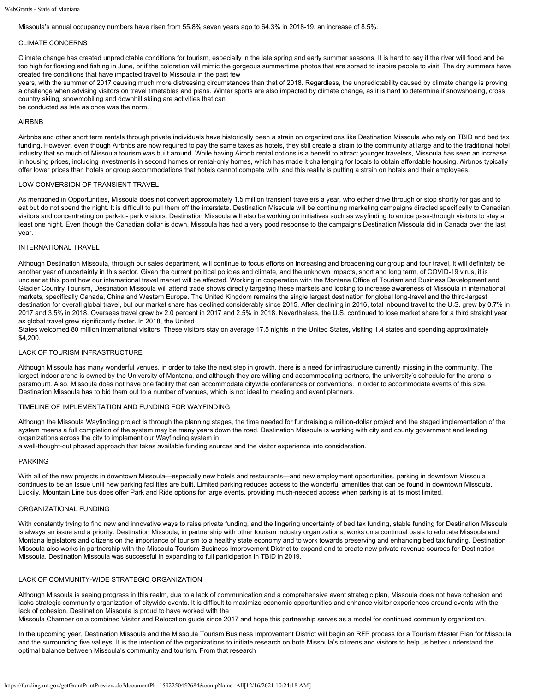Missoula's annual occupancy numbers have risen from 55.8% seven years ago to 64.3% in 2018-19, an increase of 8.5%.

#### CLIMATE CONCERNS

Climate change has created unpredictable conditions for tourism, especially in the late spring and early summer seasons. It is hard to say if the river will flood and be too high for floating and fishing in June, or if the coloration will mimic the gorgeous summertime photos that are spread to inspire people to visit. The dry summers have created fire conditions that have impacted travel to Missoula in the past few

years, with the summer of 2017 causing much more distressing circumstances than that of 2018. Regardless, the unpredictability caused by climate change is proving a challenge when advising visitors on travel timetables and plans. Winter sports are also impacted by climate change, as it is hard to determine if snowshoeing, cross country skiing, snowmobiling and downhill skiing are activities that can

be conducted as late as once was the norm.

## AIRBNB

Airbnbs and other short term rentals through private individuals have historically been a strain on organizations like Destination Missoula who rely on TBID and bed tax funding. However, even though Airbnbs are now required to pay the same taxes as hotels, they still create a strain to the community at large and to the traditional hotel industry that so much of Missoula tourism was built around. While having Airbnb rental options is a benefit to attract younger travelers, Missoula has seen an increase in housing prices, including investments in second homes or rental-only homes, which has made it challenging for locals to obtain affordable housing. Airbnbs typically offer lower prices than hotels or group accommodations that hotels cannot compete with, and this reality is putting a strain on hotels and their employees.

#### LOW CONVERSION OF TRANSIENT TRAVEL

As mentioned in Opportunities, Missoula does not convert approximately 1.5 million transient travelers a year, who either drive through or stop shortly for gas and to eat but do not spend the night. It is difficult to pull them off the interstate. Destination Missoula will be continuing marketing campaigns directed specifically to Canadian visitors and concentrating on park-to- park visitors. Destination Missoula will also be working on initiatives such as wayfinding to entice pass-through visitors to stay at least one night. Even though the Canadian dollar is down, Missoula has had a very good response to the campaigns Destination Missoula did in Canada over the last year.

## INTERNATIONAL TRAVEL

Although Destination Missoula, through our sales department, will continue to focus efforts on increasing and broadening our group and tour travel, it will definitely be another year of uncertainty in this sector. Given the current political policies and climate, and the unknown impacts, short and long term, of COVID-19 virus, it is unclear at this point how our international travel market will be affected. Working in cooperation with the Montana Office of Tourism and Business Development and Glacier Country Tourism, Destination Missoula will attend trade shows directly targeting these markets and looking to increase awareness of Missoula in international markets, specifically Canada, China and Western Europe. The United Kingdom remains the single largest destination for global long-travel and the third-largest destination for overall global travel, but our market share has declined considerably since 2015. After declining in 2016, total inbound travel to the U.S. grew by 0.7% in 2017 and 3.5% in 2018. Overseas travel grew by 2.0 percent in 2017 and 2.5% in 2018. Nevertheless, the U.S. continued to lose market share for a third straight year as global travel grew significantly faster. In 2018, the United

States welcomed 80 million international visitors. These visitors stay on average 17.5 nights in the United States, visiting 1.4 states and spending approximately \$4,200.

## LACK OF TOURISM INFRASTRUCTURE

Although Missoula has many wonderful venues, in order to take the next step in growth, there is a need for infrastructure currently missing in the community. The largest indoor arena is owned by the University of Montana, and although they are willing and accommodating partners, the university's schedule for the arena is paramount. Also, Missoula does not have one facility that can accommodate citywide conferences or conventions. In order to accommodate events of this size, Destination Missoula has to bid them out to a number of venues, which is not ideal to meeting and event planners.

#### TIMELINE OF IMPLEMENTATION AND FUNDING FOR WAYFINDING

Although the Missoula Wayfinding project is through the planning stages, the time needed for fundraising a million-dollar project and the staged implementation of the system means a full completion of the system may be many years down the road. Destination Missoula is working with city and county government and leading organizations across the city to implement our Wayfinding system in

a well-thought-out phased approach that takes available funding sources and the visitor experience into consideration.

#### PARKING

With all of the new projects in downtown Missoula—especially new hotels and restaurants—and new employment opportunities, parking in downtown Missoula continues to be an issue until new parking facilities are built. Limited parking reduces access to the wonderful amenities that can be found in downtown Missoula. Luckily, Mountain Line bus does offer Park and Ride options for large events, providing much-needed access when parking is at its most limited.

#### ORGANIZATIONAL FUNDING

With constantly trying to find new and innovative ways to raise private funding, and the lingering uncertainty of bed tax funding, stable funding for Destination Missoula is always an issue and a priority. Destination Missoula, in partnership with other tourism industry organizations, works on a continual basis to educate Missoula and Montana legislators and citizens on the importance of tourism to a healthy state economy and to work towards preserving and enhancing bed tax funding. Destination Missoula also works in partnership with the Missoula Tourism Business Improvement District to expand and to create new private revenue sources for Destination Missoula. Destination Missoula was successful in expanding to full participation in TBID in 2019.

## LACK OF COMMUNITY-WIDE STRATEGIC ORGANIZATION

Although Missoula is seeing progress in this realm, due to a lack of communication and a comprehensive event strategic plan, Missoula does not have cohesion and lacks strategic community organization of citywide events. It is difficult to maximize economic opportunities and enhance visitor experiences around events with the lack of cohesion. Destination Missoula is proud to have worked with the

Missoula Chamber on a combined Visitor and Relocation guide since 2017 and hope this partnership serves as a model for continued community organization.

In the upcoming year, Destination Missoula and the Missoula Tourism Business Improvement District will begin an RFP process for a Tourism Master Plan for Missoula and the surrounding five valleys. It is the intention of the organizations to initiate research on both Missoula's citizens and visitors to help us better understand the optimal balance between Missoula's community and tourism. From that research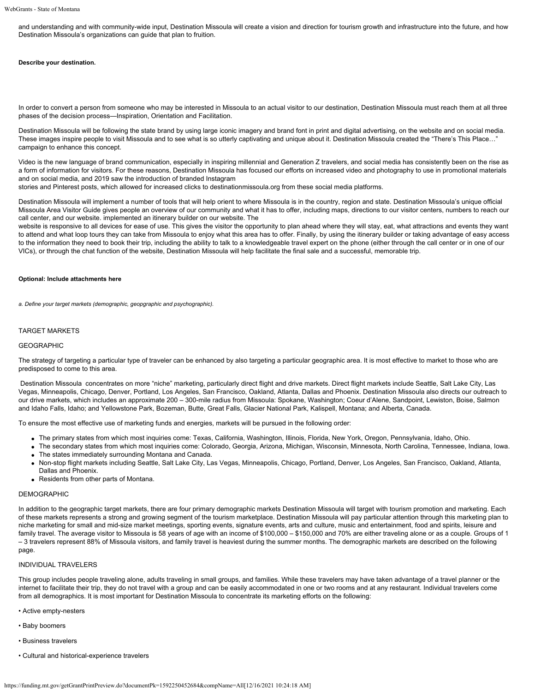and understanding and with community-wide input, Destination Missoula will create a vision and direction for tourism growth and infrastructure into the future, and how Destination Missoula's organizations can guide that plan to fruition.

#### **Describe your destination.**

In order to convert a person from someone who may be interested in Missoula to an actual visitor to our destination, Destination Missoula must reach them at all three phases of the decision process—Inspiration, Orientation and Facilitation.

Destination Missoula will be following the state brand by using large iconic imagery and brand font in print and digital advertising, on the website and on social media. These images inspire people to visit Missoula and to see what is so utterly captivating and unique about it. Destination Missoula created the "There's This Place..." campaign to enhance this concept.

Video is the new language of brand communication, especially in inspiring millennial and Generation Z travelers, and social media has consistently been on the rise as a form of information for visitors. For these reasons, Destination Missoula has focused our efforts on increased video and photography to use in promotional materials and on social media, and 2019 saw the introduction of branded Instagram

stories and Pinterest posts, which allowed for increased clicks to destinationmissoula.org from these social media platforms.

Destination Missoula will implement a number of tools that will help orient to where Missoula is in the country, region and state. Destination Missoula's unique official Missoula Area Visitor Guide gives people an overview of our community and what it has to offer, including maps, directions to our visitor centers, numbers to reach our call center, and our website. implemented an itinerary builder on our website. The

website is responsive to all devices for ease of use. This gives the visitor the opportunity to plan ahead where they will stay, eat, what attractions and events they want to attend and what loop tours they can take from Missoula to enjoy what this area has to offer. Finally, by using the itinerary builder or taking advantage of easy access to the information they need to book their trip, including the ability to talk to a knowledgeable travel expert on the phone (either through the call center or in one of our VICs), or through the chat function of the website, Destination Missoula will help facilitate the final sale and a successful, memorable trip.

#### **Optional: Include attachments here**

*a. Define your target markets (demographic, geopgraphic and psychographic).*

## TARGET MARKETS

#### **GEOGRAPHIC**

The strategy of targeting a particular type of traveler can be enhanced by also targeting a particular geographic area. It is most effective to market to those who are predisposed to come to this area.

Destination Missoula concentrates on more "niche" marketing, particularly direct flight and drive markets. Direct flight markets include Seattle, Salt Lake City, Las Vegas, Minneapolis, Chicago, Denver, Portland, Los Angeles, San Francisco, Oakland, Atlanta, Dallas and Phoenix. Destination Missoula also directs our outreach to our drive markets, which includes an approximate 200 – 300-mile radius from Missoula: Spokane, Washington; Coeur d'Alene, Sandpoint, Lewiston, Boise, Salmon and Idaho Falls, Idaho; and Yellowstone Park, Bozeman, Butte, Great Falls, Glacier National Park, Kalispell, Montana; and Alberta, Canada.

To ensure the most effective use of marketing funds and energies, markets will be pursued in the following order:

- The primary states from which most inquiries come: Texas, California, Washington, Illinois, Florida, New York, Oregon, Pennsylvania, Idaho, Ohio.
- The secondary states from which most inquiries come: Colorado, Georgia, Arizona, Michigan, Wisconsin, Minnesota, North Carolina, Tennessee, Indiana, Iowa. The states immediately surrounding Montana and Canada.
- Non-stop flight markets including Seattle, Salt Lake City, Las Vegas, Minneapolis, Chicago, Portland, Denver, Los Angeles, San Francisco, Oakland, Atlanta, Dallas and Phoenix.
- Residents from other parts of Montana.

## DEMOGRAPHIC

In addition to the geographic target markets, there are four primary demographic markets Destination Missoula will target with tourism promotion and marketing. Each of these markets represents a strong and growing segment of the tourism marketplace. Destination Missoula will pay particular attention through this marketing plan to niche marketing for small and mid-size market meetings, sporting events, signature events, arts and culture, music and entertainment, food and spirits, leisure and family travel. The average visitor to Missoula is 58 years of age with an income of \$100,000 – \$150,000 and 70% are either traveling alone or as a couple. Groups of 1 – 3 travelers represent 88% of Missoula visitors, and family travel is heaviest during the summer months. The demographic markets are described on the following page.

## INDIVIDUAL TRAVELERS

This group includes people traveling alone, adults traveling in small groups, and families. While these travelers may have taken advantage of a travel planner or the internet to facilitate their trip, they do not travel with a group and can be easily accommodated in one or two rooms and at any restaurant. Individual travelers come from all demographics. It is most important for Destination Missoula to concentrate its marketing efforts on the following:

- Active empty-nesters
- Baby boomers
- Business travelers
- Cultural and historical-experience travelers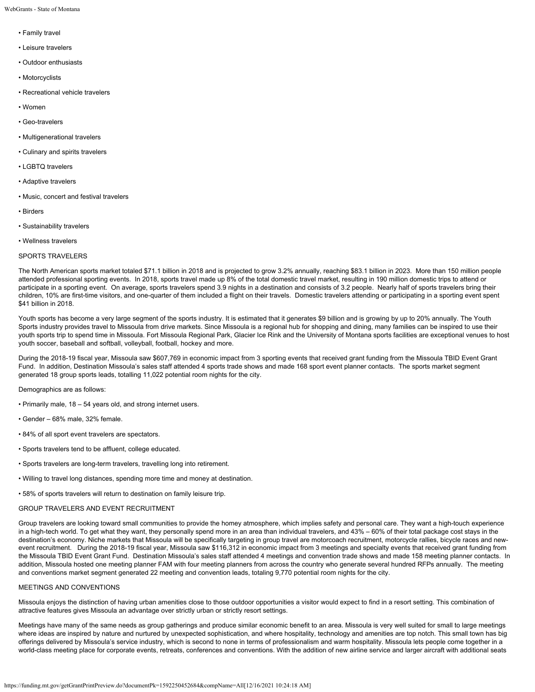WebGrants - State of Montana

- Family travel
- Leisure travelers
- Outdoor enthusiasts
- Motorcyclists
- Recreational vehicle travelers
- Women
- Geo-travelers
- Multigenerational travelers
- Culinary and spirits travelers
- LGBTQ travelers
- Adaptive travelers
- Music, concert and festival travelers
- Birders
- Sustainability travelers
- Wellness travelers

#### SPORTS TRAVELERS

The North American sports market totaled \$71.1 billion in 2018 and is projected to grow 3.2% annually, reaching \$83.1 billion in 2023. More than 150 million people attended professional sporting events. In 2018, sports travel made up 8% of the total domestic travel market, resulting in 190 million domestic trips to attend or participate in a sporting event. On average, sports travelers spend 3.9 nights in a destination and consists of 3.2 people. Nearly half of sports travelers bring their children, 10% are first-time visitors, and one-quarter of them included a flight on their travels. Domestic travelers attending or participating in a sporting event spent \$41 billion in 2018.

Youth sports has become a very large segment of the sports industry. It is estimated that it generates \$9 billion and is growing by up to 20% annually. The Youth Sports industry provides travel to Missoula from drive markets. Since Missoula is a regional hub for shopping and dining, many families can be inspired to use their youth sports trip to spend time in Missoula. Fort Missoula Regional Park, Glacier Ice Rink and the University of Montana sports facilities are exceptional venues to host youth soccer, baseball and softball, volleyball, football, hockey and more.

During the 2018-19 fiscal year, Missoula saw \$607,769 in economic impact from 3 sporting events that received grant funding from the Missoula TBID Event Grant Fund. In addition, Destination Missoula's sales staff attended 4 sports trade shows and made 168 sport event planner contacts. The sports market segment generated 18 group sports leads, totalling 11,022 potential room nights for the city.

## Demographics are as follows:

- Primarily male, 18 54 years old, and strong internet users.
- Gender 68% male, 32% female.
- 84% of all sport event travelers are spectators.
- Sports travelers tend to be affluent, college educated.
- Sports travelers are long-term travelers, travelling long into retirement.
- Willing to travel long distances, spending more time and money at destination.
- 58% of sports travelers will return to destination on family leisure trip.

## GROUP TRAVELERS AND EVENT RECRUITMENT

Group travelers are looking toward small communities to provide the homey atmosphere, which implies safety and personal care. They want a high-touch experience in a high-tech world. To get what they want, they personally spend more in an area than individual travelers, and 43% – 60% of their total package cost stays in the destination's economy. Niche markets that Missoula will be specifically targeting in group travel are motorcoach recruitment, motorcycle rallies, bicycle races and newevent recruitment. During the 2018-19 fiscal year, Missoula saw \$116,312 in economic impact from 3 meetings and specialty events that received grant funding from the Missoula TBID Event Grant Fund. Destination Missoula's sales staff attended 4 meetings and convention trade shows and made 158 meeting planner contacts. In addition, Missoula hosted one meeting planner FAM with four meeting planners from across the country who generate several hundred RFPs annually. The meeting and conventions market segment generated 22 meeting and convention leads, totaling 9,770 potential room nights for the city.

## MEETINGS AND CONVENTIONS

Missoula enjoys the distinction of having urban amenities close to those outdoor opportunities a visitor would expect to find in a resort setting. This combination of attractive features gives Missoula an advantage over strictly urban or strictly resort settings.

Meetings have many of the same needs as group gatherings and produce similar economic benefit to an area. Missoula is very well suited for small to large meetings where ideas are inspired by nature and nurtured by unexpected sophistication, and where hospitality, technology and amenities are top notch. This small town has big offerings delivered by Missoula's service industry, which is second to none in terms of professionalism and warm hospitality. Missoula lets people come together in a world-class meeting place for corporate events, retreats, conferences and conventions. With the addition of new airline service and larger aircraft with additional seats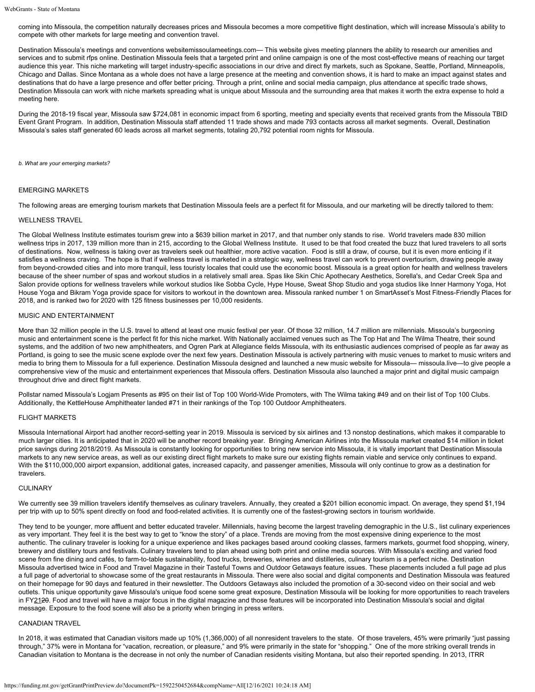coming into Missoula, the competition naturally decreases prices and Missoula becomes a more competitive flight destination, which will increase Missoula's ability to compete with other markets for large meeting and convention travel.

Destination Missoula's meetings and conventions websitemissoulameetings.com— This website gives meeting planners the ability to research our amenities and services and to submit rfps online. Destination Missoula feels that a targeted print and online campaign is one of the most cost-effective means of reaching our target audience this year. This niche marketing will target industry-specific associations in our drive and direct fly markets, such as Spokane, Seattle, Portland, Minneapolis, Chicago and Dallas. Since Montana as a whole does not have a large presence at the meeting and convention shows, it is hard to make an impact against states and destinations that do have a large presence and offer better pricing. Through a print, online and social media campaign, plus attendance at specific trade shows, Destination Missoula can work with niche markets spreading what is unique about Missoula and the surrounding area that makes it worth the extra expense to hold a meeting here.

During the 2018-19 fiscal year, Missoula saw \$724,081 in economic impact from 6 sporting, meeting and specialty events that received grants from the Missoula TBID Event Grant Program. In addition, Destination Missoula staff attended 11 trade shows and made 793 contacts across all market segments. Overall, Destination Missoula's sales staff generated 60 leads across all market segments, totaling 20,792 potential room nights for Missoula.

*b. What are your emerging markets?*

#### EMERGING MARKETS

The following areas are emerging tourism markets that Destination Missoula feels are a perfect fit for Missoula, and our marketing will be directly tailored to them:

#### WELLNESS TRAVEL

The Global Wellness Institute estimates tourism grew into a \$639 billion market in 2017, and that number only stands to rise. World travelers made 830 million wellness trips in 2017, 139 million more than in 215, according to the Global Wellness Institute. It used to be that food created the buzz that lured travelers to all sorts of destinations. Now, wellness is taking over as travelers seek out healthier, more active vacation. Food is still a draw, of course, but it is even more enticing if it satisfies a wellness craving. The hope is that if wellness travel is marketed in a strategic way, wellness travel can work to prevent overtourism, drawing people away from beyond-crowded cities and into more tranquil, less touristy locales that could use the economic boost. Missoula is a great option for health and wellness travelers because of the sheer number of spas and workout studios in a relatively small area. Spas like Skin Chic Apothecary Aesthetics, Sorella's, and Cedar Creek Spa and Salon provide options for wellness travelers while workout studios like Sobba Cycle, Hype House, Sweat Shop Studio and yoga studios like Inner Harmony Yoga, Hot House Yoga and Bikram Yoga provide space for visitors to workout in the downtown area. Missoula ranked number 1 on SmartAsset's Most Fitness-Friendly Places for 2018, and is ranked two for 2020 with 125 fitness businesses per 10,000 residents.

#### MUSIC AND ENTERTAINMENT

More than 32 million people in the U.S. travel to attend at least one music festival per year. Of those 32 million, 14.7 million are millennials. Missoula's burgeoning music and entertainment scene is the perfect fit for this niche market. With Nationally acclaimed venues such as The Top Hat and The Wilma Theatre, their sound systems, and the addition of two new amphitheaters, and Ogren Park at Allegiance fields Missoula, with its enthusiastic audiences comprised of people as far away as Portland, is going to see the music scene explode over the next few years. Destination Missoula is actively partnering with music venues to market to music writers and media to bring them to Missoula for a full experience. Destination Missoula designed and launched a new music website for Missoula— missoula.live—to give people a comprehensive view of the music and entertainment experiences that Missoula offers. Destination Missoula also launched a major print and digital music campaign throughout drive and direct flight markets.

Pollstar named Missoula's Logjam Presents as #95 on their list of Top 100 World-Wide Promoters, with The Wilma taking #49 and on their list of Top 100 Clubs. Additionally, the KettleHouse Amphitheater landed #71 in their rankings of the Top 100 Outdoor Amphitheaters.

#### FLIGHT MARKETS

Missoula International Airport had another record-setting year in 2019. Missoula is serviced by six airlines and 13 nonstop destinations, which makes it comparable to much larger cities. It is anticipated that in 2020 will be another record breaking year. Bringing American Airlines into the Missoula market created \$14 million in ticket price savings during 2018/2019. As Missoula is constantly looking for opportunities to bring new service into Missoula, it is vitally important that Destination Missoula markets to any new service areas, as well as our existing direct flight markets to make sure our existing flights remain viable and service only continues to expand. With the \$110,000,000 airport expansion, additional gates, increased capacity, and passenger amenities, Missoula will only continue to grow as a destination for travelers.

#### **CULINARY**

We currently see 39 million travelers identify themselves as culinary travelers. Annually, they created a \$201 billion economic impact. On average, they spend \$1,194 per trip with up to 50% spent directly on food and food-related activities. It is currently one of the fastest-growing sectors in tourism worldwide.

They tend to be younger, more affluent and better educated traveler. Millennials, having become the largest traveling demographic in the U.S., list culinary experiences as very important. They feel it is the best way to get to "know the story" of a place. Trends are moving from the most expensive dining experience to the most authentic. The culinary traveler is looking for a unique experience and likes packages based around cooking classes, farmers markets, gourmet food shopping, winery, brewery and distillery tours and festivals. Culinary travelers tend to plan ahead using both print and online media sources. With Missoula's exciting and varied food scene from fine dining and cafés, to farm-to-table sustainability, food trucks, breweries, wineries and distilleries, culinary tourism is a perfect niche. Destination Missoula advertised twice in Food and Travel Magazine in their Tasteful Towns and Outdoor Getaways feature issues. These placements included a full page ad plus a full page of advertorial to showcase some of the great restaurants in Missoula. There were also social and digital components and Destination Missoula was featured on their homepage for 90 days and featured in their newsletter. The Outdoors Getaways also included the promotion of a 30-second video on their social and web outlets. This unique opportunity gave Missoula's unique food scene some great exposure, Destination Missoula will be looking for more opportunities to reach travelers in FY2120. Food and travel will have a major focus in the digital magazine and those features will be incorporated into Destination Missoula's social and digital message. Exposure to the food scene will also be a priority when bringing in press writers.

## CANADIAN TRAVEL

In 2018, it was estimated that Canadian visitors made up 10% (1,366,000) of all nonresident travelers to the state. Of those travelers, 45% were primarily "just passing through," 37% were in Montana for "vacation, recreation, or pleasure," and 9% were primarily in the state for "shopping." One of the more striking overall trends in Canadian visitation to Montana is the decrease in not only the number of Canadian residents visiting Montana, but also their reported spending. In 2013, ITRR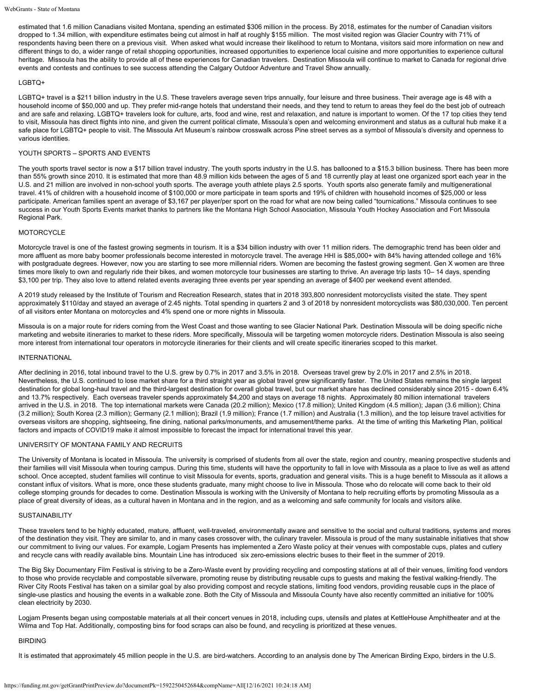estimated that 1.6 million Canadians visited Montana, spending an estimated \$306 million in the process. By 2018, estimates for the number of Canadian visitors dropped to 1.34 million, with expenditure estimates being cut almost in half at roughly \$155 million. The most visited region was Glacier Country with 71% of respondents having been there on a previous visit. When asked what would increase their likelihood to return to Montana, visitors said more information on new and different things to do, a wider range of retail shopping opportunities, increased opportunities to experience local cuisine and more opportunities to experience cultural heritage. Missoula has the ability to provide all of these experiences for Canadian travelers. Destination Missoula will continue to market to Canada for regional drive events and contests and continues to see success attending the Calgary Outdoor Adventure and Travel Show annually.

## LGBTQ+

LGBTQ+ travel is a \$211 billion industry in the U.S. These travelers average seven trips annually, four leisure and three business. Their average age is 48 with a household income of \$50,000 and up. They prefer mid-range hotels that understand their needs, and they tend to return to areas they feel do the best job of outreach and are safe and relaxing. LGBTQ+ travelers look for culture, arts, food and wine, rest and relaxation, and nature is important to women. Of the 17 top cities they tend to visit, Missoula has direct flights into nine, and given the current political climate, Missoula's open and welcoming environment and status as a cultural hub make it a safe place for LGBTQ+ people to visit. The Missoula Art Museum's rainbow crosswalk across Pine street serves as a symbol of Missoula's diversity and openness to various identities.

## YOUTH SPORTS – SPORTS AND EVENTS

The youth sports travel sector is now a \$17 billion travel industry. The youth sports industry in the U.S. has ballooned to a \$15.3 billion business. There has been more than 55% growth since 2010. It is estimated that more than 48.9 million kids between the ages of 5 and 18 currently play at least one organized sport each year in the U.S. and 21 million are involved in non-school youth sports. The average youth athlete plays 2.5 sports. Youth sports also generate family and multigenerational travel. 41% of children with a household income of \$100,000 or more participate in team sports and 19% of children with household incomes of \$25,000 or less participate. American families spent an average of \$3,167 per player/per sport on the road for what are now being called "tournications." Missoula continues to see success in our Youth Sports Events market thanks to partners like the Montana High School Association, Missoula Youth Hockey Association and Fort Missoula Regional Park.

## **MOTORCYCLE**

Motorcycle travel is one of the fastest growing segments in tourism. It is a \$34 billion industry with over 11 million riders. The demographic trend has been older and more affluent as more baby boomer professionals become interested in motorcycle travel. The average HHI is \$85,000+ with 84% having attended college and 16% with postgraduate degrees. However, now you are starting to see more millennial riders. Women are becoming the fastest growing segment. Gen X women are three times more likely to own and regularly ride their bikes, and women motorcycle tour businesses are starting to thrive. An average trip lasts 10-14 days, spending \$3,100 per trip. They also love to attend related events averaging three events per year spending an average of \$400 per weekend event attended.

A 2019 study released by the Institute of Tourism and Recreation Research, states that in 2018 393,800 nonresident motorcyclists visited the state. They spent approximately \$110/day and stayed an average of 2.45 nights. Total spending in quarters 2 and 3 of 2018 by nonresident motorcyclists was \$80,030,000. Ten percent of all visitors enter Montana on motorcycles and 4% spend one or more nights in Missoula.

Missoula is on a major route for riders coming from the West Coast and those wanting to see Glacier National Park. Destination Missoula will be doing specific niche marketing and website itineraries to market to these riders. More specifically, Missoula will be targeting women motorcycle riders. Destination Missoula is also seeing more interest from international tour operators in motorcycle itineraries for their clients and will create specific itineraries scoped to this market.

#### INTERNATIONAL

After declining in 2016, total inbound travel to the U.S. grew by 0.7% in 2017 and 3.5% in 2018. Overseas travel grew by 2.0% in 2017 and 2.5% in 2018. Nevertheless, the U.S. continued to lose market share for a third straight year as global travel grew significantly faster. The United States remains the single largest destination for global long-haul travel and the third-largest destination for overall global travel, but our market share has declined considerably since 2015 - down 6.4% and 13.7% respectively. Each overseas traveler spends approximately \$4,200 and stays on average 18 nights. Approximately 80 million international travelers arrived in the U.S. in 2018. The top international markets were Canada (20.2 million); Mexico (17.8 million); United Kingdom (4.5 million); Japan (3.6 million); China (3.2 million); South Korea (2.3 million); Germany (2.1 million); Brazil (1.9 million); France (1.7 million) and Australia (1.3 million), and the top leisure travel activities for overseas visitors are shopping, sightseeing, fine dining, national parks/monuments, and amusement/theme parks. At the time of writing this Marketing Plan, political factors and impacts of COVID19 make it almost impossible to forecast the impact for international travel this year.

#### UNIVERSITY OF MONTANA FAMILY AND RECRUITS

The University of Montana is located in Missoula. The university is comprised of students from all over the state, region and country, meaning prospective students and their families will visit Missoula when touring campus. During this time, students will have the opportunity to fall in love with Missoula as a place to live as well as attend school. Once accepted, student families will continue to visit Missoula for events, sports, graduation and general visits. This is a huge benefit to Missoula as it allows a constant influx of visitors. What is more, once these students graduate, many might choose to live in Missoula. Those who do relocate will come back to their old college stomping grounds for decades to come. Destination Missoula is working with the University of Montana to help recruiting efforts by promoting Missoula as a place of great diversity of ideas, as a cultural haven in Montana and in the region, and as a welcoming and safe community for locals and visitors alike.

#### **SUSTAINABILITY**

These travelers tend to be highly educated, mature, affluent, well-traveled, environmentally aware and sensitive to the social and cultural traditions, systems and mores of the destination they visit. They are similar to, and in many cases crossover with, the culinary traveler. Missoula is proud of the many sustainable initiatives that show our commitment to living our values. For example, Logjam Presents has implemented a Zero Waste policy at their venues with compostable cups, plates and cutlery and recycle cans with readily available bins. Mountain Line has introduced six zero-emissions electric buses to their fleet in the summer of 2019.

The Big Sky Documentary Film Festival is striving to be a Zero-Waste event by providing recycling and composting stations at all of their venues, limiting food vendors to those who provide recyclable and compostable silverware, promoting reuse by distributing reusable cups to guests and making the festival walking-friendly. The River City Roots Festival has taken on a similar goal by also providing compost and recycle stations, limiting food vendors, providing reusable cups in the place of single-use plastics and housing the events in a walkable zone. Both the City of Missoula and Missoula County have also recently committed an initiative for 100% clean electricity by 2030.

Logjam Presents began using compostable materials at all their concert venues in 2018, including cups, utensils and plates at KettleHouse Amphitheater and at the Wilma and Top Hat. Additionally, composting bins for food scraps can also be found, and recycling is prioritized at these venues.

#### BIRDING

It is estimated that approximately 45 million people in the U.S. are bird-watchers. According to an analysis done by The American Birding Expo, birders in the U.S.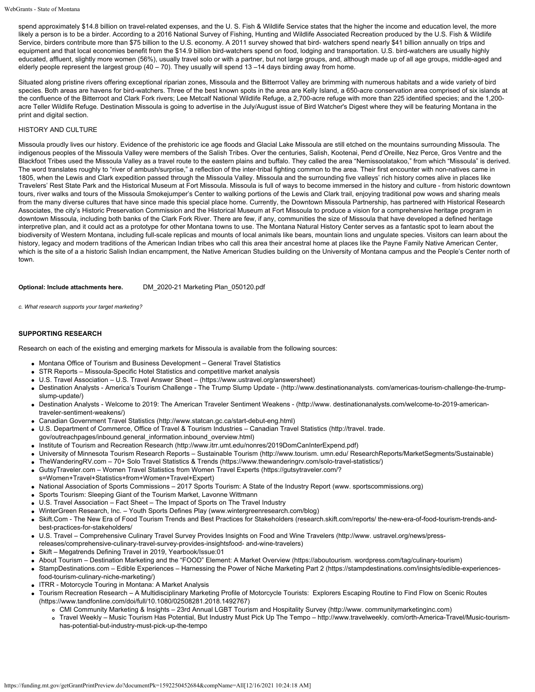spend approximately \$14.8 billion on travel-related expenses, and the U. S. Fish & Wildlife Service states that the higher the income and education level, the more likely a person is to be a birder. According to a 2016 National Survey of Fishing, Hunting and Wildlife Associated Recreation produced by the U.S. Fish & Wildlife Service, birders contribute more than \$75 billion to the U.S. economy. A 2011 survey showed that bird- watchers spend nearly \$41 billion annually on trips and equipment and that local economies benefit from the \$14.9 billion bird-watchers spend on food, lodging and transportation. U.S. bird-watchers are usually highly educated, affluent, slightly more women (56%), usually travel solo or with a partner, but not large groups, and, although made up of all age groups, middle-aged and elderly people represent the largest group  $(40 - 70)$ . They usually will spend 13 –14 days birding away from home.

Situated along pristine rivers offering exceptional riparian zones, Missoula and the Bitterroot Valley are brimming with numerous habitats and a wide variety of bird species. Both areas are havens for bird-watchers. Three of the best known spots in the area are Kelly Island, a 650-acre conservation area comprised of six islands at the confluence of the Bitterroot and Clark Fork rivers; Lee Metcalf National Wildlife Refuge, a 2,700-acre refuge with more than 225 identified species; and the 1,200 acre Teller Wildlife Refuge. Destination Missoula is going to advertise in the July/August issue of Bird Watcher's Digest where they will be featuring Montana in the print and digital section.

## HISTORY AND CULTURE

Missoula proudly lives our history. Evidence of the prehistoric ice age floods and Glacial Lake Missoula are still etched on the mountains surrounding Missoula. The indigenous peoples of the Missoula Valley were members of the Salish Tribes. Over the centuries, Salish, Kootenai, Pend d'Oreille, Nez Perce, Gros Ventre and the Blackfoot Tribes used the Missoula Valley as a travel route to the eastern plains and buffalo. They called the area "Nemissoolatakoo," from which "Missoula" is derived. The word translates roughly to "river of ambush/surprise," a reflection of the inter-tribal fighting common to the area. Their first encounter with non-natives came in 1805, when the Lewis and Clark expedition passed through the Missoula Valley. Missoula and the surrounding five valleys' rich history comes alive in places like Travelers' Rest State Park and the Historical Museum at Fort Missoula. Missoula is full of ways to become immersed in the history and culture - from historic downtown tours, river walks and tours of the Missoula Smokejumper's Center to walking portions of the Lewis and Clark trail, enjoying traditional pow wows and sharing meals from the many diverse cultures that have since made this special place home. Currently, the Downtown Missoula Partnership, has partnered with Historical Research Associates, the city's Historic Preservation Commission and the Historical Museum at Fort Missoula to produce a vision for a comprehensive heritage program in downtown Missoula, including both banks of the Clark Fork River. There are few, if any, communities the size of Missoula that have developed a defined heritage interpretive plan, and it could act as a prototype for other Montana towns to use. The Montana Natural History Center serves as a fantastic spot to learn about the biodiversity of Western Montana, including full-scale replicas and mounts of local animals like bears, mountain lions and ungulate species. Visitors can learn about the history, legacy and modern traditions of the American Indian tribes who call this area their ancestral home at places like the Payne Family Native American Center, which is the site of a a historic Salish Indian encampment, the Native American Studies building on the University of Montana campus and the People's Center north of town.

**Optional: Include attachments here.** [DM\\_2020-21 Marketing Plan\\_050120.pdf](https://funding.mt.gov/fileDownload.jsp?filename=1588374465514_DM_2020-21+Marketing+Plan_050120.pdf)

*c. What research supports your target marketing?*

#### **SUPPORTING RESEARCH**

Research on each of the existing and emerging markets for Missoula is available from the following sources:

- Montana Office of Tourism and Business Development General Travel Statistics
- STR Reports Missoula-Specific Hotel Statistics and competitive market analysis  $\bullet$
- U.S. Travel Association U.S. Travel Answer Sheet (https://www.ustravel.org/answersheet)
- Destination Analysts America's Tourism Challenge The Trump Slump Update (http://www.destinationanalysts. com/americas-tourism-challenge-the-trumpslump-update/)
- Destination Analysts Welcome to 2019: The American Traveler Sentiment Weakens (http://www. destinationanalysts.com/welcome-to-2019-americantraveler-sentiment-weakens/)
- Canadian Government Travel Statistics (http://www.statcan.gc.ca/start-debut-eng.html)
- U.S. Department of Commerce, Office of Travel & Tourism Industries Canadian Travel Statistics (http://travel. trade. gov/outreachpages/inbound.general\_information.inbound\_overview.html)
- Institute of Tourism and Recreation Research (http://www.itrr.umt.edu/nonres/2019DomCanInterExpend.pdf)
- University of Minnesota Tourism Research Reports Sustainable Tourism (http://www.tourism. umn.edu/ ResearchReports/MarketSegments/Sustainable)
- TheWanderingRV.com 70+ Solo Travel Statistics & Trends [\(https://www.thewanderingrv.com/solo-travel-statistics/](https://www.thewanderingrv.com/solo-travel-statistics/))
- GutsyTraveler.com Women Travel Statistics from Women Travel Experts [\(https://gutsytraveler.com/?](https://gutsytraveler.com/?s=Women+Travel+Statistics+from+Women+Travel+Expert)
- [s=Women+Travel+Statistics+from+Women+Travel+Expert\)](https://gutsytraveler.com/?s=Women+Travel+Statistics+from+Women+Travel+Expert)
- National Association of Sports Commissions 2017 Sports Tourism: A State of the Industry Report (www. sportscommissions.org)
- Sports Tourism: Sleeping Giant of the Tourism Market, Lavonne Wittmann
- U.S. Travel Association Fact Sheet The Impact of Sports on The Travel Industry
- WinterGreen Research, Inc. Youth Sports Defines Play [\(www.wintergreenresearch.com/blog](http://www.wintergreenresearch.com/blog))
- Skift.Com The New Era of Food Tourism Trends and Best Practices for Stakeholders (research.skift.com/reports/ the-new-era-of-food-tourism-trends-andbest-practices-for-stakeholders/
- U.S. Travel Comprehensive Culinary Travel Survey Provides Insights on Food and Wine Travelers (http://www. ustravel.org/news/press-
- releases/comprehensive-culinary-travel-survey-provides-insightsfood- and-wine-travelers)
- Skift Megatrends Defining Travel in 2019, Yearbook/Issue:01
- About Tourism Destination Marketing and the "FOOD" Element: A Market Overview (https://aboutourism. wordpress.com/tag/culinary-tourism)
- StampDestinations.com Edible Experiences Harnessing the Power of Niche Marketing Part 2 (https://stampdestinations.com/insights/edible-experiencesfood-tourism-culinary-niche-marketing/)
- ITRR Motorcycle Touring in Montana: A Market Analysis
- Tourism Recreation Research A Multidisciplinary Marketing Profile of Motorcycle Tourists: Explorers Escaping Routine to Find Flow on Scenic Routes [\(https://www.tandfonline.com/doi/full/10.1080/02508281.2018.1492767](https://www.tandfonline.com/doi/full/10.1080/02508281.2018.1492767))
	- CMI Community Marketing & Insights 23rd Annual LGBT Tourism and Hospitality Survey (http://www. communitymarketinginc.com)
	- Travel Weekly Music Tourism Has Potential, But Industry Must Pick Up The Tempo http://www.travelweekly. com/orth-America-Travel/Music-tourismhas-potential-but-industry-must-pick-up-the-tempo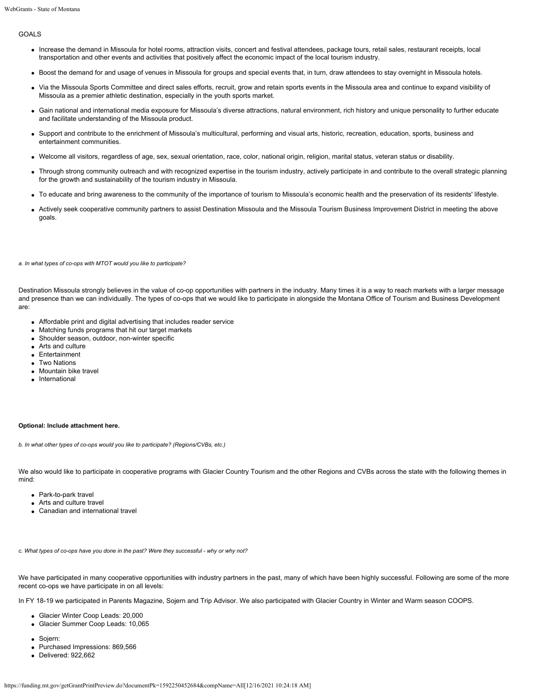## GOALS

- Increase the demand in Missoula for hotel rooms, attraction visits, concert and festival attendees, package tours, retail sales, restaurant receipts, local transportation and other events and activities that positively affect the economic impact of the local tourism industry.
- Boost the demand for and usage of venues in Missoula for groups and special events that, in turn, draw attendees to stay overnight in Missoula hotels.
- Via the Missoula Sports Committee and direct sales efforts, recruit, grow and retain sports events in the Missoula area and continue to expand visibility of Missoula as a premier athletic destination, especially in the youth sports market.
- Gain national and international media exposure for Missoula's diverse attractions, natural environment, rich history and unique personality to further educate and facilitate understanding of the Missoula product.
- Support and contribute to the enrichment of Missoula's multicultural, performing and visual arts, historic, recreation, education, sports, business and entertainment communities.
- Welcome all visitors, regardless of age, sex, sexual orientation, race, color, national origin, religion, marital status, veteran status or disability.
- Through strong community outreach and with recognized expertise in the tourism industry, actively participate in and contribute to the overall strategic planning for the growth and sustainability of the tourism industry in Missoula.
- To educate and bring awareness to the community of the importance of tourism to Missoula's economic health and the preservation of its residents' lifestyle.
- Actively seek cooperative community partners to assist Destination Missoula and the Missoula Tourism Business Improvement District in meeting the above goals.

*a. In what types of co-ops with MTOT would you like to participate?*

Destination Missoula strongly believes in the value of co-op opportunities with partners in the industry. Many times it is a way to reach markets with a larger message and presence than we can individually. The types of co-ops that we would like to participate in alongside the Montana Office of Tourism and Business Development are:

- Affordable print and digital advertising that includes reader service
- Matching funds programs that hit our target markets
- Shoulder season, outdoor, non-winter specific
- Arts and culture
- Entertainment
- Two Nations
- Mountain bike travel
- **·** International

#### **Optional: Include attachment here.**

*b. In what other types of co-ops would you like to participate? (Regions/CVBs, etc.)*

We also would like to participate in cooperative programs with Glacier Country Tourism and the other Regions and CVBs across the state with the following themes in mind:

- Park-to-park travel
- Arts and culture travel
- Canadian and international travel

*c. What types of co-ops have you done in the past? Were they successful - why or why not?*

We have participated in many cooperative opportunities with industry partners in the past, many of which have been highly successful. Following are some of the more recent co-ops we have participate in on all levels:

In FY 18-19 we participated in Parents Magazine, Sojern and Trip Advisor. We also participated with Glacier Country in Winter and Warm season COOPS.

- Glacier Winter Coop Leads: 20,000
- Glacier Summer Coop Leads: 10,065
- Sojern:
- Purchased Impressions: 869,566
- Delivered: 922,662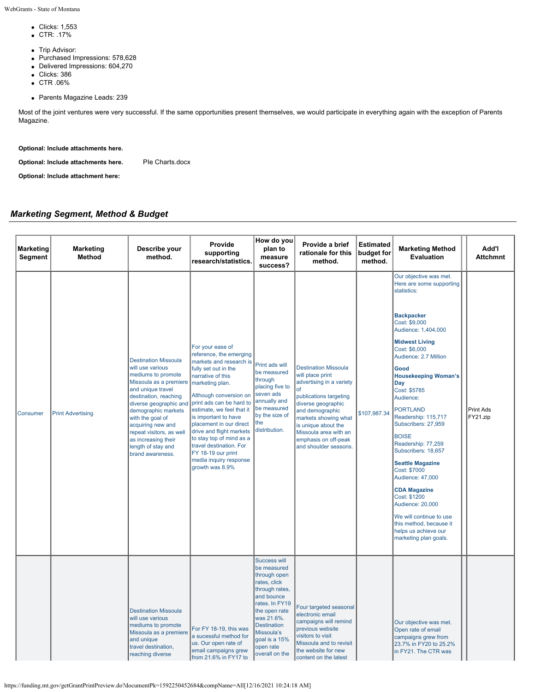WebGrants - State of Montana

- **c** Clicks: 1,553
- CTR: .17%
- Trip Advisor:
- Purchased Impressions: 578,628
- Delivered Impressions: 604,270
- **clicks: 386**
- CTR .06%
- Parents Magazine Leads: 239

Most of the joint ventures were very successful. If the same opportunities present themselves, we would participate in everything again with the exception of Parents Magazine.

**Optional: Include attachments here.**

**Optional: Include attachments here.** Ple Charts.docx

**Optional: Include attachment here:**

## *Marketing Segment, Method & Budget*

| <b>Marketing</b><br>Segment | <b>Marketing</b><br><b>Method</b> | Describe your<br>method.                                                                                                                                                                                                                                                                                                             | Provide<br>supporting<br>research/statistics.                                                                                                                                                                                                                                                                                                                                                                                      | How do you<br>plan to<br>measure<br>success?                                                                                                                                                                                     | Provide a brief<br>rationale for this<br>method.                                                                                                                                                                                                                              | <b>Estimated</b><br>budget for<br>method. | <b>Marketing Method</b><br><b>Evaluation</b>                                                                                                                                                                                                                                                                                                                                                                                                                                                                                                                                                                                                | Add'l<br><b>Attchmnt</b>     |
|-----------------------------|-----------------------------------|--------------------------------------------------------------------------------------------------------------------------------------------------------------------------------------------------------------------------------------------------------------------------------------------------------------------------------------|------------------------------------------------------------------------------------------------------------------------------------------------------------------------------------------------------------------------------------------------------------------------------------------------------------------------------------------------------------------------------------------------------------------------------------|----------------------------------------------------------------------------------------------------------------------------------------------------------------------------------------------------------------------------------|-------------------------------------------------------------------------------------------------------------------------------------------------------------------------------------------------------------------------------------------------------------------------------|-------------------------------------------|---------------------------------------------------------------------------------------------------------------------------------------------------------------------------------------------------------------------------------------------------------------------------------------------------------------------------------------------------------------------------------------------------------------------------------------------------------------------------------------------------------------------------------------------------------------------------------------------------------------------------------------------|------------------------------|
| <b>Consumer</b>             | <b>Print Advertising</b>          | <b>Destination Missoula</b><br>will use various<br>mediums to promote<br>Missoula as a premiere<br>and unique travel<br>destination, reaching<br>diverse geographic and<br>demographic markets<br>with the goal of<br>acquiring new and<br>repeat visitors, as well<br>as increasing their<br>length of stay and<br>brand awareness. | For your ease of<br>reference, the emerging<br>markets and research is<br>fully set out in the<br>narrative of this<br>marketing plan.<br>Although conversion on<br>print ads can be hard to<br>estimate, we feel that it<br>is important to have<br>placement in our direct<br>drive and flight markets<br>to stay top of mind as a<br>travel destination. For<br>FY 18-19 our print<br>media inquiry response<br>growth was 8.9% | Print ads will<br>be measured<br>through<br>placing five to<br>seven ads<br>annually and<br>be measured<br>by the size of<br>the<br>distribution.                                                                                | <b>Destination Missoula</b><br>will place print<br>advertising in a variety<br>of<br>publications targeting<br>diverse geographic<br>and demographic<br>markets showing what<br>is unique about the<br>Missoula area with an<br>emphasis on off-peak<br>and shoulder seasons. | \$107,987.34                              | Our objective was met.<br>Here are some supporting<br>statistics:<br><b>Backpacker</b><br>Cost: \$9,000<br>Audience: 1,404,000<br><b>Midwest Living</b><br>Cost: \$6,000<br>Audience: 2.7 Million<br>Good<br><b>Housekeeping Woman's</b><br>Day<br>Cost: \$5785<br>Audience:<br><b>PORTLAND</b><br>Readership: 115,717<br>Subscribers: 27,959<br><b>BOISE</b><br>Readership: 77,259<br>Subscribers: 18,657<br><b>Seattle Magazine</b><br>Cost: \$7000<br>Audience: 47,000<br><b>CDA Magazine</b><br>Cost: \$1200<br>Audience: 20,000<br>We will continue to use<br>this method, because it<br>helps us achieve our<br>marketing plan goals. | <b>Print Ads</b><br>FY21.zip |
|                             |                                   | <b>Destination Missoula</b><br>will use various<br>mediums to promote<br>Missoula as a premiere<br>and unique<br>travel destination,<br>reaching diverse                                                                                                                                                                             | For FY 18-19, this was<br>a sucessful method for<br>us. Our open rate of<br>email campaigns grew<br>from 21.6% in FY17 to                                                                                                                                                                                                                                                                                                          | Success will<br>be measured<br>through open<br>rates, click<br>through rates,<br>and bounce<br>rates. In FY19<br>the open rate<br>was 21.6%.<br><b>Destination</b><br>Missoula's<br>goal is a 15%<br>open rate<br>overall on the | Four targeted seasonal<br>electronic email<br>campaigns will remind<br>previous website<br>visitors to visit<br>Missoula and to revisit<br>the website for new<br>content on the latest                                                                                       |                                           | Our objective was met.<br>Open rate of email<br>campaigns grew from<br>23.7% in FY20 to 25.2%<br>in FY21. The CTR was                                                                                                                                                                                                                                                                                                                                                                                                                                                                                                                       |                              |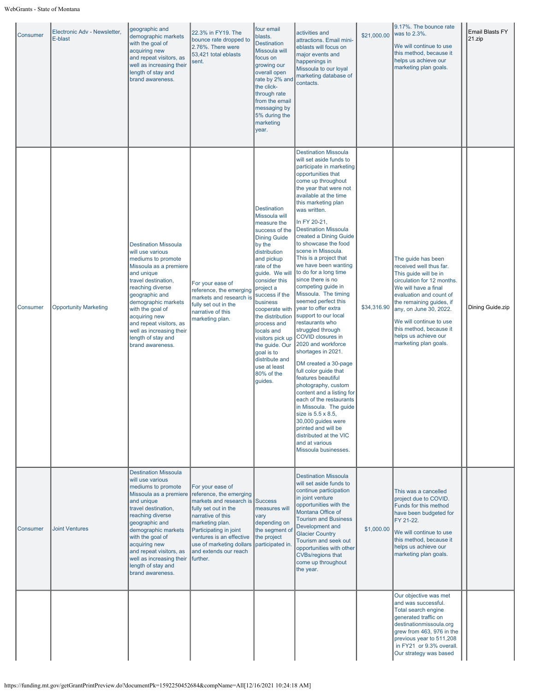| <b>Consumer</b> | Electronic Adv - Newsletter,<br>E-blast | geographic and<br>demographic markets<br>with the goal of<br>acquiring new<br>and repeat visitors, as<br>well as increasing their<br>length of stay and<br>brand awareness.                                                                                                                                                             | 22.3% in FY19. The<br>bounce rate dropped to<br>2.76%. There were<br>53,421 total eblasts<br>sent.                                                                                                                                                                    | four email<br>blasts.<br><b>Destination</b><br>Missoula will<br>focus on<br>growing our<br>overall open<br>rate by 2% and<br>the click-<br>through rate<br>from the email<br>messaging by<br>5% during the<br>marketing<br>year.                                                                                                                                                                                          | activities and<br>attractions. Email mini-<br>eblasts will focus on<br>major events and<br>happenings in<br>Missoula to our loyal<br>marketing database of<br>contacts.                                                                                                                                                                                                                                                                                                                                                                                                                                                                                                                                                                                                                                                                                                                                                                                                                                            | \$21,000.00 | 9.17%. The bounce rate<br>was to 2.3%.<br>We will continue to use<br>this method, because it<br>helps us achieve our<br>marketing plan goals.                                                                                                                                                                        | <b>Email Blasts FY</b><br>21.zip |
|-----------------|-----------------------------------------|-----------------------------------------------------------------------------------------------------------------------------------------------------------------------------------------------------------------------------------------------------------------------------------------------------------------------------------------|-----------------------------------------------------------------------------------------------------------------------------------------------------------------------------------------------------------------------------------------------------------------------|---------------------------------------------------------------------------------------------------------------------------------------------------------------------------------------------------------------------------------------------------------------------------------------------------------------------------------------------------------------------------------------------------------------------------|--------------------------------------------------------------------------------------------------------------------------------------------------------------------------------------------------------------------------------------------------------------------------------------------------------------------------------------------------------------------------------------------------------------------------------------------------------------------------------------------------------------------------------------------------------------------------------------------------------------------------------------------------------------------------------------------------------------------------------------------------------------------------------------------------------------------------------------------------------------------------------------------------------------------------------------------------------------------------------------------------------------------|-------------|----------------------------------------------------------------------------------------------------------------------------------------------------------------------------------------------------------------------------------------------------------------------------------------------------------------------|----------------------------------|
| <b>Consumer</b> | <b>Opportunity Marketing</b>            | <b>Destination Missoula</b><br>will use various<br>mediums to promote<br>Missoula as a premiere<br>and unique<br>travel destination,<br>reaching diverse<br>geographic and<br>demographic markets<br>with the goal of<br>acquiring new<br>and repeat visitors, as<br>well as increasing their<br>length of stay and<br>brand awareness. | For your ease of<br>reference, the emerging<br>markets and research is<br>fully set out in the<br>narrative of this<br>marketing plan.                                                                                                                                | <b>Destination</b><br><b>Missoula will</b><br>measure the<br>success of the<br><b>Dining Guide</b><br>by the<br>distribution<br>and pickup<br>rate of the<br>guide. We will<br>consider this<br>project a<br>success if the<br>business<br>cooperate with<br>the distribution<br>process and<br>locals and<br>visitors pick up<br>the guide. Our<br>goal is to<br>distribute and<br>use at least<br>80% of the<br>guides. | <b>Destination Missoula</b><br>will set aside funds to<br>participate in marketing<br>opportunities that<br>come up throughout<br>the year that were not<br>available at the time<br>this marketing plan<br>was written.<br>In FY 20-21,<br><b>Destination Missoula</b><br>created a Dining Guide<br>to showcase the food<br>scene in Missoula.<br>This is a project that<br>we have been wanting<br>to do for a long time<br>since there is no<br>competing guide in<br>Missoula. The timing<br>seemed perfect this<br>year to offer extra<br>support to our local<br>restaurants who<br>struggled through<br><b>COVID closures in</b><br>2020 and workforce<br>shortages in 2021.<br>DM created a 30-page<br>full color guide that<br>features beautiful<br>photography, custom<br>content and a listing for<br>each of the restaurants<br>in Missoula. The quide<br>size is $5.5 \times 8.5$ ,<br>30,000 guides were<br>printed and will be<br>distributed at the VIC<br>and at various<br>Missoula businesses. | \$34,316.90 | The guide has been<br>received well thus far.<br>This guide will be in<br>circulation for 12 months.<br>We will have a final<br>evaluation and count of<br>the remaining guides, if<br>any, on June 30, 2022.<br>We will continue to use<br>this method, because it<br>helps us achieve our<br>marketing plan goals. | Dining Guide.zip                 |
| Consumer        | <b>Joint Ventures</b>                   | <b>Destination Missoula</b><br>will use various<br>mediums to promote<br>Missoula as a premiere<br>and unique<br>travel destination,<br>reaching diverse<br>geographic and<br>demographic markets<br>with the goal of<br>acquiring new<br>and repeat visitors, as<br>well as increasing their<br>length of stay and<br>brand awareness. | For your ease of<br>reference, the emerging<br>markets and research is Success<br>fully set out in the<br>narrative of this<br>marketing plan.<br>Participating in joint<br>ventures is an effective<br>use of marketing dollars<br>and extends our reach<br>further. | measures will<br>vary<br>depending on<br>the segment of<br>the project<br>participated in.                                                                                                                                                                                                                                                                                                                                | <b>Destination Missoula</b><br>will set aside funds to<br>continue participation<br>in joint venture<br>opportunities with the<br>Montana Office of<br><b>Tourism and Business</b><br>Development and<br><b>Glacier Country</b><br>Tourism and seek out<br>opportunities with other<br><b>CVBs/regions that</b><br>come up throughout<br>the year.                                                                                                                                                                                                                                                                                                                                                                                                                                                                                                                                                                                                                                                                 | \$1,000.00  | This was a cancelled<br>project due to COVID.<br>Funds for this method<br>have been budgeted for<br>FY 21-22.<br>We will continue to use<br>this method, because it<br>helps us achieve our<br>marketing plan goals.                                                                                                 |                                  |
|                 |                                         |                                                                                                                                                                                                                                                                                                                                         |                                                                                                                                                                                                                                                                       |                                                                                                                                                                                                                                                                                                                                                                                                                           |                                                                                                                                                                                                                                                                                                                                                                                                                                                                                                                                                                                                                                                                                                                                                                                                                                                                                                                                                                                                                    |             | Our objective was met<br>and was successful.<br>Total search engine<br>generated traffic on<br>destinationmissoula.org<br>grew from 463, 976 in the<br>previous year to 511,208<br>in FY21 or 9.3% overall.<br>Our strategy was based                                                                                |                                  |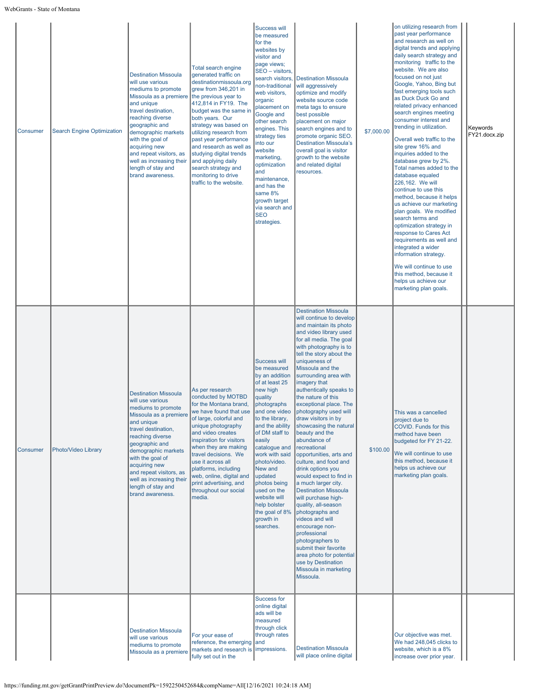| Consumer        | <b>Search Engine Optimization</b> | <b>Destination Missoula</b><br>will use various<br>mediums to promote<br>Missoula as a premiere<br>and unique<br>travel destination,<br>reaching diverse<br>geographic and<br>demographic markets<br>with the goal of<br>acquiring new<br>and repeat visitors, as<br>well as increasing their<br>length of stay and<br>brand awareness. | Total search engine<br>generated traffic on<br>destinationmissoula.org<br>grew from 346,201 in<br>the previous year to<br>412,814 in FY19. The<br>budget was the same in<br>both years. Our<br>strategy was based on<br>utilizing research from<br>past year performance<br>and research as well as<br>studying digital trends<br>and applying daily<br>search strategy and<br>monitoring to drive<br>traffic to the website. | <b>Success will</b><br>be measured<br>for the<br>websites by<br>visitor and<br>page views;<br>SEO - visitors,<br>search visitors,<br>non-traditional<br>web visitors,<br>organic<br>placement on<br>Google and<br>other search<br>engines. This<br>strategy ties<br>into our<br>website<br>marketing,<br>optimization<br>and<br>maintenance,<br>and has the<br>same 8%<br>growth target<br>via search and<br><b>SEO</b><br>strategies. | <b>Destination Missoula</b><br>will aggressively<br>optimize and modify<br>website source code<br>meta tags to ensure<br>best possible<br>placement on major<br>search engines and to<br>promote organic SEO.<br><b>Destination Missoula's</b><br>overall goal is visitor<br>growth to the website<br>and related digital<br>resources.                                                                                                                                                                                                                                                                                                                                                                                                                                                                                                                                                                | \$7,000.00 | on utilizing research from<br>past year performance<br>and research as well on<br>digital trends and applying<br>daily search strategy and<br>monitoring traffic to the<br>website. We are also<br>focused on not just<br>Google, Yahoo, Bing but<br>fast emerging tools such<br>as Duck Duck Go and<br>related privacy enhanced<br>search engines meeting<br>consumer interest and<br>trending in utilization.<br>Overall web traffic to the<br>site grew 16% and<br>inquiries added to the<br>database grew by 2%.<br>Total names added to the<br>database equaled<br>226,162. We will<br>continue to use this<br>method, because it helps<br>us achieve our marketing<br>plan goals. We modified<br>search terms and<br>optimization strategy in<br>response to Cares Act<br>requirements as well and<br>integrated a wider<br>information strategy.<br>We will continue to use<br>this method, because it<br>helps us achieve our<br>marketing plan goals. | Keywords<br>FY21.docx.zip |
|-----------------|-----------------------------------|-----------------------------------------------------------------------------------------------------------------------------------------------------------------------------------------------------------------------------------------------------------------------------------------------------------------------------------------|-------------------------------------------------------------------------------------------------------------------------------------------------------------------------------------------------------------------------------------------------------------------------------------------------------------------------------------------------------------------------------------------------------------------------------|----------------------------------------------------------------------------------------------------------------------------------------------------------------------------------------------------------------------------------------------------------------------------------------------------------------------------------------------------------------------------------------------------------------------------------------|--------------------------------------------------------------------------------------------------------------------------------------------------------------------------------------------------------------------------------------------------------------------------------------------------------------------------------------------------------------------------------------------------------------------------------------------------------------------------------------------------------------------------------------------------------------------------------------------------------------------------------------------------------------------------------------------------------------------------------------------------------------------------------------------------------------------------------------------------------------------------------------------------------|------------|----------------------------------------------------------------------------------------------------------------------------------------------------------------------------------------------------------------------------------------------------------------------------------------------------------------------------------------------------------------------------------------------------------------------------------------------------------------------------------------------------------------------------------------------------------------------------------------------------------------------------------------------------------------------------------------------------------------------------------------------------------------------------------------------------------------------------------------------------------------------------------------------------------------------------------------------------------------|---------------------------|
| <b>Consumer</b> | Photo/Video Library               | <b>Destination Missoula</b><br>will use various<br>mediums to promote<br>Missoula as a premiere<br>and unique<br>travel destination,<br>reaching diverse<br>geographic and<br>demographic markets<br>with the goal of<br>acquiring new<br>and repeat visitors, as<br>well as increasing their<br>length of stay and<br>brand awareness. | As per research<br>conducted by MOTBD<br>for the Montana brand,<br>we have found that use<br>of large, colorful and<br>unique photography<br>and video creates<br>inspiration for visitors<br>when they are making<br>travel decisions. We<br>use it across all<br>platforms, including<br>web, online, digital and<br>print advertising, and<br>throughout our social<br>media.                                              | <b>Success will</b><br>be measured<br>by an addition<br>of at least 25<br>new high<br>quality<br>photographs<br>and one video<br>to the library,<br>and the ability<br>of DM staff to<br>easily<br>catalogue and<br>work with said<br>photo/video.<br>New and<br>updated<br>photos being<br>used on the<br>website will<br>help bolster<br>the goal of 8%<br>growth in<br>searches.                                                    | <b>Destination Missoula</b><br>will continue to develop<br>and maintain its photo<br>and video library used<br>for all media. The goal<br>with photography is to<br>tell the story about the<br>uniqueness of<br>Missoula and the<br>surrounding area with<br>imagery that<br>authentically speaks to<br>the nature of this<br>exceptional place. The<br>photography used will<br>draw visitors in by<br>showcasing the natural<br>beauty and the<br>abundance of<br>recreational<br>opportunities, arts and<br>culture, and food and<br>drink options you<br>would expect to find in<br>a much larger city.<br><b>Destination Missoula</b><br>will purchase high-<br>quality, all-season<br>photographs and<br>videos and will<br>encourage non-<br>professional<br>photographers to<br>submit their favorite<br>area photo for potential<br>use by Destination<br>Missoula in marketing<br>Missoula. | \$100.00   | This was a cancelled<br>project due to<br>COVID. Funds for this<br>method have been<br>budgeted for FY 21-22.<br>We will continue to use<br>this method, because it<br>helps us achieve our<br>marketing plan goals.                                                                                                                                                                                                                                                                                                                                                                                                                                                                                                                                                                                                                                                                                                                                           |                           |
|                 |                                   | <b>Destination Missoula</b><br>will use various<br>mediums to promote<br>Missoula as a premiere                                                                                                                                                                                                                                         | For your ease of<br>reference, the emerging and<br>markets and research is impressions.<br>fully set out in the                                                                                                                                                                                                                                                                                                               | <b>Success for</b><br>online digital<br>ads will be<br>measured<br>through click<br>through rates                                                                                                                                                                                                                                                                                                                                      | <b>Destination Missoula</b><br>will place online digital                                                                                                                                                                                                                                                                                                                                                                                                                                                                                                                                                                                                                                                                                                                                                                                                                                               |            | Our objective was met.<br>We had 248,045 clicks to<br>website, which is a 8%<br>increase over prior year.                                                                                                                                                                                                                                                                                                                                                                                                                                                                                                                                                                                                                                                                                                                                                                                                                                                      |                           |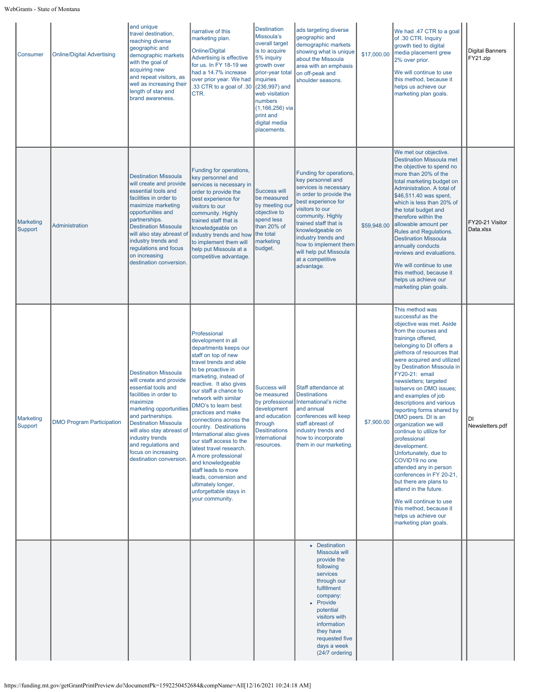| Consumer                    | <b>Online/Digital Advertising</b> | and unique<br>travel destination,<br>reaching diverse<br>geographic and<br>demographic markets<br>with the goal of<br>acquiring new<br>and repeat visitors, as<br>well as increasing their<br>length of stay and<br>brand awareness.                                                                                        | narrative of this<br>marketing plan.<br><b>Online/Digital</b><br>Advertising is effective<br>for us. In FY 18-19 we<br>had a 14.7% increase<br>over prior year. We had<br>33 CTR to a goal of .30<br>CTR.                                                                                                                                                                                                                                                                                                                                                                                | <b>Destination</b><br>Missoula's<br>overall target<br>is to acquire<br>5% inquiry<br>growth over<br>prior-year total<br>inquiries<br>$(236,997)$ and<br>web visitation<br>numbers<br>$(1, 166, 256)$ via<br>print and<br>digital media<br>placements. | ads targeting diverse<br>geographic and<br>demographic markets<br>showing what is unique<br>about the Missoula<br>area with an emphasis<br>on off-peak and<br>shoulder seasons.                                                                                                                                          | \$17,000.00 | We had .47 CTR to a goal<br>of .30 CTR. Inquiry<br>growth tied to digital<br>media placement grew<br>2% over prior.<br>We will continue to use<br>this method, because it<br>helps us achieve our<br>marketing plan goals.                                                                                                                                                                                                                                                                                                                                                                                                                                                                                                                                       | <b>Digital Banners</b><br>FY21.zip |
|-----------------------------|-----------------------------------|-----------------------------------------------------------------------------------------------------------------------------------------------------------------------------------------------------------------------------------------------------------------------------------------------------------------------------|------------------------------------------------------------------------------------------------------------------------------------------------------------------------------------------------------------------------------------------------------------------------------------------------------------------------------------------------------------------------------------------------------------------------------------------------------------------------------------------------------------------------------------------------------------------------------------------|-------------------------------------------------------------------------------------------------------------------------------------------------------------------------------------------------------------------------------------------------------|--------------------------------------------------------------------------------------------------------------------------------------------------------------------------------------------------------------------------------------------------------------------------------------------------------------------------|-------------|------------------------------------------------------------------------------------------------------------------------------------------------------------------------------------------------------------------------------------------------------------------------------------------------------------------------------------------------------------------------------------------------------------------------------------------------------------------------------------------------------------------------------------------------------------------------------------------------------------------------------------------------------------------------------------------------------------------------------------------------------------------|------------------------------------|
| <b>Marketing</b><br>Support | <b>Administration</b>             | <b>Destination Missoula</b><br>will create and provide<br>essential tools and<br>facilities in order to<br>maximize marketing<br>opportunities and<br>partnerships.<br><b>Destination Missoula</b><br>will also stay abreast of<br>industry trends and<br>regulations and focus<br>on increasing<br>destination conversion. | Funding for operations,<br>key personnel and<br>services is necessary in<br>order to provide the<br>best experience for<br>visitors to our<br>community. Highly<br>trained staff that is<br>knowledgeable on<br>industry trends and how<br>to implement them will<br>help put Missoula at a<br>competitive advantage.                                                                                                                                                                                                                                                                    | <b>Success will</b><br>be measured<br>by meeting ou<br>objective to<br>spend less<br>than 20% of<br>the total<br>marketing<br>budget.                                                                                                                 | Funding for operations,<br>key personnel and<br>services is necessary<br>in order to provide the<br>best experience for<br>visitors to our<br>community. Highly<br>trained staff that is<br>knowledgeable on<br>industry trends and<br>how to implement them<br>will help put Missoula<br>at a competitive<br>advantage. | \$59,948.00 | We met our objective.<br><b>Destination Missoula met</b><br>the objective to spend no<br>more than 20% of the<br>total marketing budget on<br>Administration. A total of<br>\$46,511.40 was spent,<br>which is less than 20% of<br>the total budget and<br>therefore within the<br>allowable amount per<br><b>Rules and Requlations.</b><br><b>Destination Missoula</b><br>annually conducts<br>reviews and evaluations.<br>We will continue to use<br>this method, because it<br>helps us achieve our<br>marketing plan goals.                                                                                                                                                                                                                                  | FY20-21 Visitor<br>Data.xlsx       |
| <b>Marketing</b><br>Support | <b>DMO Program Participation</b>  | <b>Destination Missoula</b><br>will create and provide<br>essential tools and<br>facilities in order to<br>maximize<br>marketing opportunities<br>and partnerships.<br><b>Destination Missoula</b><br>will also stay abreast of<br>industry trends<br>and regulations and<br>focus on increasing<br>destination conversion. | Professional<br>development in all<br>departments keeps our<br>staff on top of new<br>travel trends and able<br>to be proactive in<br>marketing, instead of<br>reactive. It also gives<br>our staff a chance to<br>network with similar<br>DMO's to learn best<br>practices and make<br>connections across the<br>country. Destinations<br>International also gives<br>our staff access to the<br>latest travel research.<br>A more professional<br>and knowledgeable<br>staff leads to more<br>leads, conversion and<br>ultimately longer,<br>unforgettable stays in<br>your community. | Success will<br>be measured<br>development<br>and education<br>through<br><b>Desitinations</b><br>International<br>resources.                                                                                                                         | Staff attendance at<br><b>Destinations</b><br>by professional International's niche<br>land annual<br>conferences will keep<br>staff abreast of<br>industry trends and<br>how to incorporate<br>them in our marketing.                                                                                                   | \$7,900.00  | This method was<br>successful as the<br>objective was met. Aside<br>from the courses and<br>trainings offered,<br>belonging to DI offers a<br>plethora of resources that<br>were acquired and utilized<br>by Destination Missoula in<br>FY20-21: email<br>newsletters; targeted<br>listservs on DMO issues;<br>and examples of job<br>descriptions and various<br>reporting forms shared by<br>DMO peers. DI is an<br>organization we will<br>continue to utilize for<br>professional<br>development.<br>Unfortunately, due to<br>COVID19 no one<br>attended any in person<br>conferences in FY 20-21,<br>but there are plans to<br>attend in the future.<br>We will continue to use<br>this method, because it<br>helps us achieve our<br>marketing plan goals. | DI<br>Newsletters.pdf              |
|                             |                                   |                                                                                                                                                                                                                                                                                                                             |                                                                                                                                                                                                                                                                                                                                                                                                                                                                                                                                                                                          |                                                                                                                                                                                                                                                       | • Destination<br>Missoula will<br>provide the<br>following<br>services<br>through our<br>fulfillment<br>company:<br>• Provide<br>potential<br>visitors with<br>information<br>they have<br>requested five<br>days a week<br>(24/7 ordering                                                                               |             |                                                                                                                                                                                                                                                                                                                                                                                                                                                                                                                                                                                                                                                                                                                                                                  |                                    |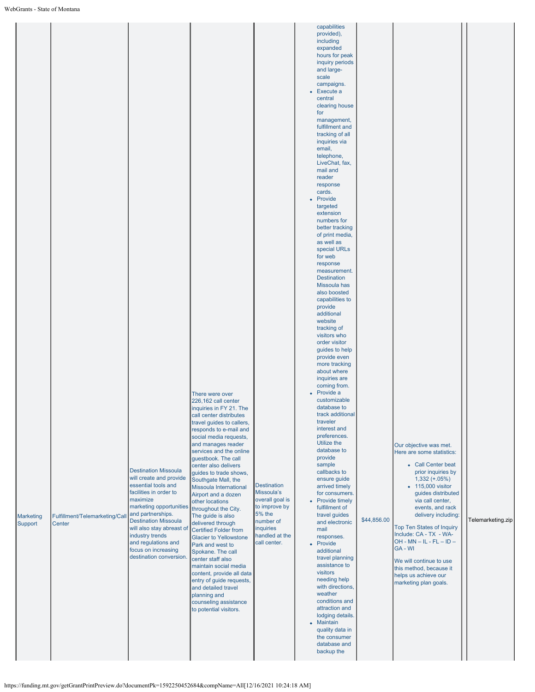|  | Marketing<br>Support | Fulfillment/Telemarketing/Call<br>Center | <b>Destination Missoula</b><br>will create and provide<br>essential tools and<br>facilities in order to<br>maximize<br>marketing opportunities<br>and partnerships.<br><b>Destination Missoula</b><br>will also stay abreast of<br>industry trends<br>and regulations and<br>focus on increasing<br>destination conversion. | There were over<br>226,162 call center<br>inquiries in FY 21. The<br>call center distributes<br>travel guides to callers,<br>responds to e-mail and<br>social media requests,<br>and manages reader<br>services and the online<br>questbook. The call<br>center also delivers<br>guides to trade shows,<br>Southgate Mall, the<br>Missoula International<br>Airport and a dozen<br>other locations<br>throughout the City.<br>The guide is also<br>delivered through<br><b>Certified Folder from</b><br><b>Glacier to Yellowstone</b><br>Park and west to<br>Spokane. The call<br>center staff also<br>maintain social media<br>content, provide all data<br>entry of guide requests,<br>and detailed travel<br>planning and<br>counseling assistance<br>to potential visitors. | <b>Destination</b><br>Missoula's<br>overall goal is<br>to improve by<br><b>5% the</b><br>number of<br>inquiries<br>handled at the<br>call center. | provided),<br>including<br>expanded<br>hours for peak<br>inquiry periods<br>and large-<br>scale<br>campaigns.<br>$\bullet$ Execute a<br>central<br>clearing house<br>for<br>management,<br>fulfillment and<br>tracking of all<br>inquiries via<br>email,<br>telephone,<br>LiveChat, fax,<br>mail and<br>reader<br>response<br>cards.<br>• Provide<br>targeted<br>extension<br>numbers for<br>better tracking<br>of print media,<br>as well as<br>special URLs<br>for web<br>response<br>measurement.<br><b>Destination</b><br>Missoula has<br>also boosted<br>capabilities to<br>provide<br>additional<br>website<br>tracking of<br>visitors who<br>order visitor<br>guides to help<br>provide even<br>more tracking<br>about where<br>inquiries are<br>coming from.<br>• Provide a<br>customizable<br>database to<br>track additional<br>traveler<br>interest and<br>preferences.<br>Utilize the<br>database to<br>provide<br>sample<br>callbacks to<br>ensure guide<br>arrived timely<br>for consumers.<br>• Provide timely<br>fulfillment of<br>travel guides<br>and electronic<br>mail<br>responses.<br>• Provide<br>additional<br>travel planning<br>assistance to<br>visitors<br>needing help<br>with directions,<br>weather<br>conditions and<br>attraction and<br>lodging details.<br>• Maintain<br>quality data in<br>the consumer<br>database and | \$44,856.00 | Our objective was met.<br>Here are some statistics:<br>• Call Center beat<br>prior inquiries by<br>$1,332 (+.05%)$<br>• 115,000 visitor<br>guides distributed<br>via call center,<br>events, and rack<br>delivery including:<br>Top Ten States of Inquiry<br>Include: CA - TX - WA-<br>$OH - MN - IL - FL - ID -$<br>GA - WI<br>We will continue to use<br>this method, because it<br>helps us achieve our<br>marketing plan goals. | Telemarketing.zip |
|--|----------------------|------------------------------------------|-----------------------------------------------------------------------------------------------------------------------------------------------------------------------------------------------------------------------------------------------------------------------------------------------------------------------------|---------------------------------------------------------------------------------------------------------------------------------------------------------------------------------------------------------------------------------------------------------------------------------------------------------------------------------------------------------------------------------------------------------------------------------------------------------------------------------------------------------------------------------------------------------------------------------------------------------------------------------------------------------------------------------------------------------------------------------------------------------------------------------|---------------------------------------------------------------------------------------------------------------------------------------------------|-------------------------------------------------------------------------------------------------------------------------------------------------------------------------------------------------------------------------------------------------------------------------------------------------------------------------------------------------------------------------------------------------------------------------------------------------------------------------------------------------------------------------------------------------------------------------------------------------------------------------------------------------------------------------------------------------------------------------------------------------------------------------------------------------------------------------------------------------------------------------------------------------------------------------------------------------------------------------------------------------------------------------------------------------------------------------------------------------------------------------------------------------------------------------------------------------------------------------------------------------------------------------------------------------------------------------------------------------------------|-------------|-------------------------------------------------------------------------------------------------------------------------------------------------------------------------------------------------------------------------------------------------------------------------------------------------------------------------------------------------------------------------------------------------------------------------------------|-------------------|
|--|----------------------|------------------------------------------|-----------------------------------------------------------------------------------------------------------------------------------------------------------------------------------------------------------------------------------------------------------------------------------------------------------------------------|---------------------------------------------------------------------------------------------------------------------------------------------------------------------------------------------------------------------------------------------------------------------------------------------------------------------------------------------------------------------------------------------------------------------------------------------------------------------------------------------------------------------------------------------------------------------------------------------------------------------------------------------------------------------------------------------------------------------------------------------------------------------------------|---------------------------------------------------------------------------------------------------------------------------------------------------|-------------------------------------------------------------------------------------------------------------------------------------------------------------------------------------------------------------------------------------------------------------------------------------------------------------------------------------------------------------------------------------------------------------------------------------------------------------------------------------------------------------------------------------------------------------------------------------------------------------------------------------------------------------------------------------------------------------------------------------------------------------------------------------------------------------------------------------------------------------------------------------------------------------------------------------------------------------------------------------------------------------------------------------------------------------------------------------------------------------------------------------------------------------------------------------------------------------------------------------------------------------------------------------------------------------------------------------------------------------|-------------|-------------------------------------------------------------------------------------------------------------------------------------------------------------------------------------------------------------------------------------------------------------------------------------------------------------------------------------------------------------------------------------------------------------------------------------|-------------------|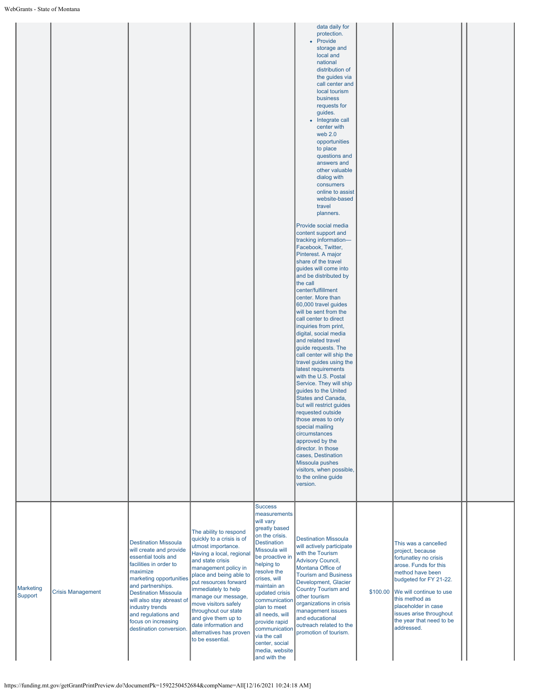|                             |                          |                                                                                                                                                                                                                                                                                                                             |                                                                                                                                                                                                                                                                                                                                                                                                   |                                                                                                                                                                                                                                                                                                                                                                                  | data daily for<br>protection.<br>• Provide<br>storage and<br>local and<br>national<br>distribution of<br>the guides via<br>call center and<br>local tourism<br>business<br>requests for<br>guides.<br>• Integrate call<br>center with<br>web 2.0<br>opportunities<br>to place<br>questions and<br>answers and<br>other valuable<br>dialog with<br>consumers<br>online to assist<br>website-based<br>travel<br>planners.<br>Provide social media<br>content support and<br>tracking information-<br>Facebook, Twitter,<br>Pinterest. A major<br>share of the travel<br>guides will come into<br>and be distributed by<br>the call<br>center/fulfillment<br>center. More than<br>60,000 travel guides<br>will be sent from the<br>call center to direct<br>inquiries from print,<br>digital, social media<br>and related travel<br>guide requests. The<br>call center will ship the<br>travel guides using the<br>latest requirements<br>with the U.S. Postal<br>Service. They will ship<br>guides to the United<br>States and Canada,<br>but will restrict guides<br>requested outside<br>those areas to only<br>special mailing<br>circumstances<br>approved by the<br>director. In those<br>cases. Destination<br>Missoula pushes<br>visitors, when possible,<br>to the online guide<br>version. |          |                                                                                                                                                                                                                                                                                   |  |
|-----------------------------|--------------------------|-----------------------------------------------------------------------------------------------------------------------------------------------------------------------------------------------------------------------------------------------------------------------------------------------------------------------------|---------------------------------------------------------------------------------------------------------------------------------------------------------------------------------------------------------------------------------------------------------------------------------------------------------------------------------------------------------------------------------------------------|----------------------------------------------------------------------------------------------------------------------------------------------------------------------------------------------------------------------------------------------------------------------------------------------------------------------------------------------------------------------------------|---------------------------------------------------------------------------------------------------------------------------------------------------------------------------------------------------------------------------------------------------------------------------------------------------------------------------------------------------------------------------------------------------------------------------------------------------------------------------------------------------------------------------------------------------------------------------------------------------------------------------------------------------------------------------------------------------------------------------------------------------------------------------------------------------------------------------------------------------------------------------------------------------------------------------------------------------------------------------------------------------------------------------------------------------------------------------------------------------------------------------------------------------------------------------------------------------------------------------------------------------------------------------------------------------|----------|-----------------------------------------------------------------------------------------------------------------------------------------------------------------------------------------------------------------------------------------------------------------------------------|--|
| <b>Marketing</b><br>Support | <b>Crisis Management</b> | <b>Destination Missoula</b><br>will create and provide<br>essential tools and<br>facilities in order to<br>maximize<br>marketing opportunities<br>and partnerships.<br><b>Destination Missoula</b><br>will also stay abreast of<br>industry trends<br>and regulations and<br>focus on increasing<br>destination conversion. | The ability to respond<br>quickly to a crisis is of<br>utmost importance.<br>Having a local, regional<br>and state crisis<br>management policy in<br>place and being able to<br>put resources forward<br>immediately to help<br>manage our message,<br>move visitors safely<br>throughout our state<br>and give them up to<br>date information and<br>alternatives has proven<br>to be essential. | <b>Success</b><br>measurements<br>will vary<br>greatly based<br>on the crisis.<br><b>Destination</b><br>Missoula will<br>be proactive in<br>helping to<br>resolve the<br>crises, will<br>maintain an<br>updated crisis<br>communication<br>plan to meet<br>all needs, will<br>provide rapid<br>communication<br>via the call<br>center, social<br>media, website<br>and with the | <b>Destination Missoula</b><br>will actively participate<br>with the Tourism<br><b>Advisory Council,</b><br>Montana Office of<br><b>Tourism and Business</b><br>Development, Glacier<br><b>Country Tourism and</b><br>other tourism<br>organizations in crisis<br>management issues<br>and educational<br>outreach related to the<br>promotion of tourism.                                                                                                                                                                                                                                                                                                                                                                                                                                                                                                                                                                                                                                                                                                                                                                                                                                                                                                                                        | \$100.00 | This was a cancelled<br>project, because<br>fortunatley no crisis<br>arose. Funds for this<br>method have been<br>budgeted for FY 21-22.<br>We will continue to use<br>this method as<br>placeholder in case<br>issues arise throughout<br>the year that need to be<br>addressed. |  |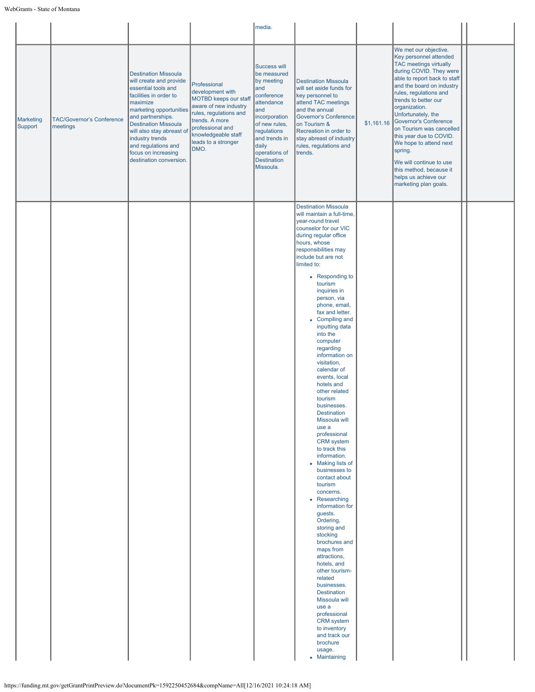|                             |                                              |                                                                                                                                                                                                                                                                                                                             |                                                                                                                                                                                                         | media.                                                                                                                                                                                                                    |                                                                                                                                                                                                                                                                                                                                                                                                                                                                                                                                                                                                                                                                                                                                                                                                                                                                                                                                                                                                                                                                                       |            |                                                                                                                                                                                                                                                                                                                                                                                                                                                                                               |  |
|-----------------------------|----------------------------------------------|-----------------------------------------------------------------------------------------------------------------------------------------------------------------------------------------------------------------------------------------------------------------------------------------------------------------------------|---------------------------------------------------------------------------------------------------------------------------------------------------------------------------------------------------------|---------------------------------------------------------------------------------------------------------------------------------------------------------------------------------------------------------------------------|---------------------------------------------------------------------------------------------------------------------------------------------------------------------------------------------------------------------------------------------------------------------------------------------------------------------------------------------------------------------------------------------------------------------------------------------------------------------------------------------------------------------------------------------------------------------------------------------------------------------------------------------------------------------------------------------------------------------------------------------------------------------------------------------------------------------------------------------------------------------------------------------------------------------------------------------------------------------------------------------------------------------------------------------------------------------------------------|------------|-----------------------------------------------------------------------------------------------------------------------------------------------------------------------------------------------------------------------------------------------------------------------------------------------------------------------------------------------------------------------------------------------------------------------------------------------------------------------------------------------|--|
| <b>Marketing</b><br>Support | <b>TAC/Governor's Conference</b><br>meetings | <b>Destination Missoula</b><br>will create and provide<br>essential tools and<br>facilities in order to<br>maximize<br>marketing opportunities<br>and partnerships.<br><b>Destination Missoula</b><br>will also stay abreast of<br>industry trends<br>and regulations and<br>focus on increasing<br>destination conversion. | Professional<br>development with<br>MOTBD keeps our staf<br>aware of new industry<br>rules, regulations and<br>trends. A more<br>professional and<br>knowledgeable staff<br>leads to a stronger<br>DMO. | <b>Success will</b><br>be measured<br>by meeting<br>and<br>conference<br>attendance<br>and<br>incorporation<br>of new rules,<br>regulations<br>and trends in<br>daily<br>operations of<br><b>Destination</b><br>Missoula. | <b>Destination Missoula</b><br>will set aside funds for<br>key personnel to<br>attend TAC meetings<br>and the annual<br><b>Governor's Conference</b><br>on Tourism &<br>Recreation in order to<br>stay abreast of industry<br>rules, regulations and<br>trends.                                                                                                                                                                                                                                                                                                                                                                                                                                                                                                                                                                                                                                                                                                                                                                                                                       | \$1,161.16 | We met our objective.<br>Key personnel attended<br><b>TAC meetings virtually</b><br>during COVID. They were<br>able to report back to staff<br>and the board on industry<br>rules, regulations and<br>trends to better our<br>organization.<br>Unfortunately, the<br>Governor's Conference<br>on Tourism was cancelled<br>this year due to COVID.<br>We hope to attend next<br>spring.<br>We will continue to use<br>this method, because it<br>helps us achieve our<br>marketing plan goals. |  |
|                             |                                              |                                                                                                                                                                                                                                                                                                                             |                                                                                                                                                                                                         |                                                                                                                                                                                                                           | <b>Destination Missoula</b><br>will maintain a full-time,<br>year-round travel<br>counselor for our VIC<br>during regular office<br>hours, whose<br>responsibilities may<br>include but are not<br>limited to:<br>• Responding to<br>tourism<br>inquiries in<br>person, via<br>phone, email,<br>fax and letter.<br>• Compiling and<br>inputting data<br>into the<br>computer<br>regarding<br>information on<br>visitation,<br>calendar of<br>events, local<br>hotels and<br>other related<br>tourism<br>businesses.<br><b>Destination</b><br>Missoula will<br>use a<br>professional<br><b>CRM</b> system<br>to track this<br>information.<br>• Making lists of<br>businesses to<br>contact about<br>tourism<br>concerns.<br>• Researching<br>information for<br>guests.<br>Ordering,<br>storing and<br>stocking<br>brochures and<br>maps from<br>attractions,<br>hotels, and<br>other tourism-<br>related<br>businesses.<br><b>Destination</b><br>Missoula will<br>use a<br>professional<br><b>CRM</b> system<br>to inventory<br>and track our<br>brochure<br>usage.<br>• Maintaining |            |                                                                                                                                                                                                                                                                                                                                                                                                                                                                                               |  |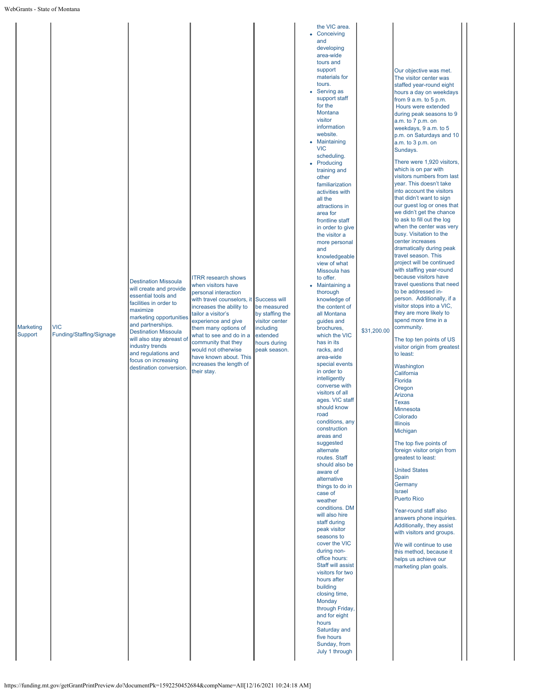|  | Marketing<br>Support | <b>VIC</b><br>Funding/Staffing/Signage | <b>Destination Missoula</b><br>will create and provide<br>essential tools and<br>facilities in order to<br>maximize<br>marketing opportunities<br>and partnerships.<br><b>Destination Missoula</b><br>will also stay abreast of<br>industry trends<br>and regulations and<br>focus on increasing<br>destination conversion. | <b>ITRR research shows</b><br>when visitors have<br>personal interaction<br>with travel counselors, it<br>increases the ability to<br>tailor a visitor's<br>experience and give<br>them many options of<br>what to see and do in a<br>community that they<br>would not otherwise<br>have known about. This<br>increases the length of<br>their stay. | <b>Success will</b><br>be measured<br>by staffing the<br>visitor center<br>including<br>extended<br>hours during<br>peak season. | • Conceiving<br>and<br>developing<br>area-wide<br>tours and<br>support<br>materials for<br>tours.<br>• Serving as<br>support staff<br>for the<br>Montana<br>visitor<br>information<br>website.<br>• Maintaining<br><b>VIC</b><br>scheduling.<br>• Producing<br>training and<br>other<br>familiarization<br>activities with<br>all the<br>attractions in<br>area for<br>frontline staff<br>in order to give<br>the visitor a<br>more personal<br>and<br>knowledgeable<br>view of what<br>Missoula has<br>to offer.<br>• Maintaining a<br>thorough<br>knowledge of<br>the content of<br>all Montana<br>guides and<br>brochures,<br>which the VIC<br>has in its<br>racks, and<br>area-wide<br>special events<br>in order to<br>intelligently<br>converse with<br>visitors of all<br>ages. VIC staff<br>should know<br>road<br>conditions, any<br>construction<br>areas and<br>suggested<br>alternate<br>routes. Staff<br>should also be<br>aware of<br>alternative<br>things to do in<br>case of<br>weather<br>conditions. DM<br>will also hire<br>staff during<br>peak visitor<br>seasons to<br>cover the VIC<br>during non-<br>office hours:<br>Staff will assist<br>visitors for two<br>hours after<br>building<br>closing time,<br>Monday<br>through Friday,<br>and for eight<br>hours<br>Saturday and<br>five hours<br>Sunday, from<br>July 1 through | \$31,200.00 | Our objective was met.<br>The visitor center was<br>staffed year-round eight<br>hours a day on weekdays<br>from $9$ a.m. to $5$ p.m.<br>Hours were extended<br>during peak seasons to 9<br>a.m. to 7 p.m. on<br>weekdays, 9 a.m. to 5<br>p.m. on Saturdays and 10<br>a.m. to 3 p.m. on<br>Sundays.<br>There were 1,920 visitors,<br>which is on par with<br>visitors numbers from last<br>year. This doesn't take<br>into account the visitors<br>that didn't want to sign<br>our guest log or ones that<br>we didn't get the chance<br>to ask to fill out the log<br>when the center was very<br>busy. Visitation to the<br>center increases<br>dramatically during peak<br>travel season. This<br>project will be continued<br>with staffing year-round<br>because visitors have<br>travel questions that need<br>to be addressed in-<br>person. Additionally, if a<br>visitor stops into a VIC,<br>they are more likely to<br>spend more time in a<br>community.<br>The top ten points of US<br>visitor origin from greatest<br>to least:<br>Washington<br>California<br>Florida<br>Oregon<br>Arizona<br><b>Texas</b><br><b>Minnesota</b><br>Colorado<br><b>Illinois</b><br>Michigan<br>The top five points of<br>foreign visitor origin from<br>greatest to least:<br><b>United States</b><br>Spain<br>Germany<br>Israel<br><b>Puerto Rico</b><br>Year-round staff also<br>answers phone inquiries.<br>Additionally, they assist<br>with visitors and groups.<br>We will continue to use<br>this method, because it<br>helps us achieve our<br>marketing plan goals. |  |
|--|----------------------|----------------------------------------|-----------------------------------------------------------------------------------------------------------------------------------------------------------------------------------------------------------------------------------------------------------------------------------------------------------------------------|------------------------------------------------------------------------------------------------------------------------------------------------------------------------------------------------------------------------------------------------------------------------------------------------------------------------------------------------------|----------------------------------------------------------------------------------------------------------------------------------|---------------------------------------------------------------------------------------------------------------------------------------------------------------------------------------------------------------------------------------------------------------------------------------------------------------------------------------------------------------------------------------------------------------------------------------------------------------------------------------------------------------------------------------------------------------------------------------------------------------------------------------------------------------------------------------------------------------------------------------------------------------------------------------------------------------------------------------------------------------------------------------------------------------------------------------------------------------------------------------------------------------------------------------------------------------------------------------------------------------------------------------------------------------------------------------------------------------------------------------------------------------------------------------------------------------------------------------------------------|-------------|--------------------------------------------------------------------------------------------------------------------------------------------------------------------------------------------------------------------------------------------------------------------------------------------------------------------------------------------------------------------------------------------------------------------------------------------------------------------------------------------------------------------------------------------------------------------------------------------------------------------------------------------------------------------------------------------------------------------------------------------------------------------------------------------------------------------------------------------------------------------------------------------------------------------------------------------------------------------------------------------------------------------------------------------------------------------------------------------------------------------------------------------------------------------------------------------------------------------------------------------------------------------------------------------------------------------------------------------------------------------------------------------------------------------------------------------------------------------------------------------------------------------------------------------------------------------------|--|
|--|----------------------|----------------------------------------|-----------------------------------------------------------------------------------------------------------------------------------------------------------------------------------------------------------------------------------------------------------------------------------------------------------------------------|------------------------------------------------------------------------------------------------------------------------------------------------------------------------------------------------------------------------------------------------------------------------------------------------------------------------------------------------------|----------------------------------------------------------------------------------------------------------------------------------|---------------------------------------------------------------------------------------------------------------------------------------------------------------------------------------------------------------------------------------------------------------------------------------------------------------------------------------------------------------------------------------------------------------------------------------------------------------------------------------------------------------------------------------------------------------------------------------------------------------------------------------------------------------------------------------------------------------------------------------------------------------------------------------------------------------------------------------------------------------------------------------------------------------------------------------------------------------------------------------------------------------------------------------------------------------------------------------------------------------------------------------------------------------------------------------------------------------------------------------------------------------------------------------------------------------------------------------------------------|-------------|--------------------------------------------------------------------------------------------------------------------------------------------------------------------------------------------------------------------------------------------------------------------------------------------------------------------------------------------------------------------------------------------------------------------------------------------------------------------------------------------------------------------------------------------------------------------------------------------------------------------------------------------------------------------------------------------------------------------------------------------------------------------------------------------------------------------------------------------------------------------------------------------------------------------------------------------------------------------------------------------------------------------------------------------------------------------------------------------------------------------------------------------------------------------------------------------------------------------------------------------------------------------------------------------------------------------------------------------------------------------------------------------------------------------------------------------------------------------------------------------------------------------------------------------------------------------------|--|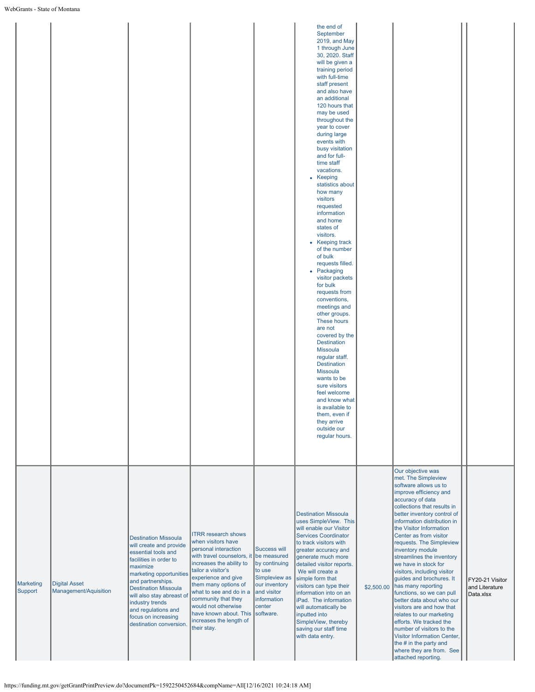|                      |                                               |                                                                                                                                                                                                                                                                                                                             |                                                                                                                                                                                                                                                                                                                                                                |                                                                                                                                  | the end of<br>September<br>2019, and May<br>1 through June<br>30, 2020. Staff<br>will be given a<br>training period<br>with full-time<br>staff present<br>and also have<br>an additional<br>120 hours that<br>may be used<br>throughout the<br>year to cover<br>during large<br>events with<br>busy visitation<br>and for full-<br>time staff<br>vacations.<br>• Keeping<br>statistics about<br>how many<br>visitors<br>requested<br>information<br>and home<br>states of<br>visitors.<br>• Keeping track<br>of the number<br>of bulk<br>requests filled.<br>• Packaging<br>visitor packets<br>for bulk<br>requests from<br>conventions,<br>meetings and<br>other groups.<br>These hours<br>are not<br>covered by the<br><b>Destination</b><br><b>Missoula</b><br>regular staff.<br><b>Destination</b><br><b>Missoula</b><br>wants to be<br>sure visitors<br>feel welcome<br>and know what<br>is available to<br>them, even if<br>they arrive<br>outside our<br>regular hours. |            |                                                                                                                                                                                                                                                                                                                                                                                                                                                                                                                                                                                                                                                                                                                                                |                                                |
|----------------------|-----------------------------------------------|-----------------------------------------------------------------------------------------------------------------------------------------------------------------------------------------------------------------------------------------------------------------------------------------------------------------------------|----------------------------------------------------------------------------------------------------------------------------------------------------------------------------------------------------------------------------------------------------------------------------------------------------------------------------------------------------------------|----------------------------------------------------------------------------------------------------------------------------------|--------------------------------------------------------------------------------------------------------------------------------------------------------------------------------------------------------------------------------------------------------------------------------------------------------------------------------------------------------------------------------------------------------------------------------------------------------------------------------------------------------------------------------------------------------------------------------------------------------------------------------------------------------------------------------------------------------------------------------------------------------------------------------------------------------------------------------------------------------------------------------------------------------------------------------------------------------------------------------|------------|------------------------------------------------------------------------------------------------------------------------------------------------------------------------------------------------------------------------------------------------------------------------------------------------------------------------------------------------------------------------------------------------------------------------------------------------------------------------------------------------------------------------------------------------------------------------------------------------------------------------------------------------------------------------------------------------------------------------------------------------|------------------------------------------------|
| Marketing<br>Support | <b>Digital Asset</b><br>Management/Aquisition | <b>Destination Missoula</b><br>will create and provide<br>essential tools and<br>facilities in order to<br>maximize<br>marketing opportunities<br>and partnerships.<br><b>Destination Missoula</b><br>will also stay abreast of<br>industry trends<br>and regulations and<br>focus on increasing<br>destination conversion. | <b>ITRR research shows</b><br>when visitors have<br>personal interaction<br>with travel counselors, it<br>increases the ability to<br>tailor a visitor's<br>experience and give<br>them many options of<br>what to see and do in a<br>community that they<br>would not otherwise<br>have known about. This software.<br>increases the length of<br>their stay. | Success will<br>be measured<br>by continuing<br>to use<br>Simpleview as<br>our inventory<br>and visitor<br>information<br>center | <b>Destination Missoula</b><br>uses SimpleView. This<br>will enable our Visitor<br><b>Services Coordinator</b><br>to track visitors with<br>greater accuracy and<br>generate much more<br>detailed visitor reports.<br>We will create a<br>simple form that<br>visitors can type their<br>information into on an<br>iPad. The information<br>will automatically be<br>inputted into<br>SimpleView, thereby<br>saving our staff time<br>with data entry.                                                                                                                                                                                                                                                                                                                                                                                                                                                                                                                        | \$2,500.00 | Our objective was<br>met. The Simpleview<br>software allows us to<br>improve efficiency and<br>accuracy of data<br>collections that results in<br>better inventory control of<br>information distribution in<br>the Visitor Information<br>Center as from visitor<br>requests. The Simpleview<br>inventory module<br>streamlines the inventory<br>we have in stock for<br>visitors, including visitor<br>guides and brochures. It<br>has many reporting<br>functions, so we can pull<br>better data about who our<br>visitors are and how that<br>relates to our marketing<br>efforts. We tracked the<br>number of visitors to the<br>Visitor Information Center,<br>the # in the party and<br>where they are from. See<br>attached reporting. | FY20-21 Visitor<br>and Literature<br>Data.xlsx |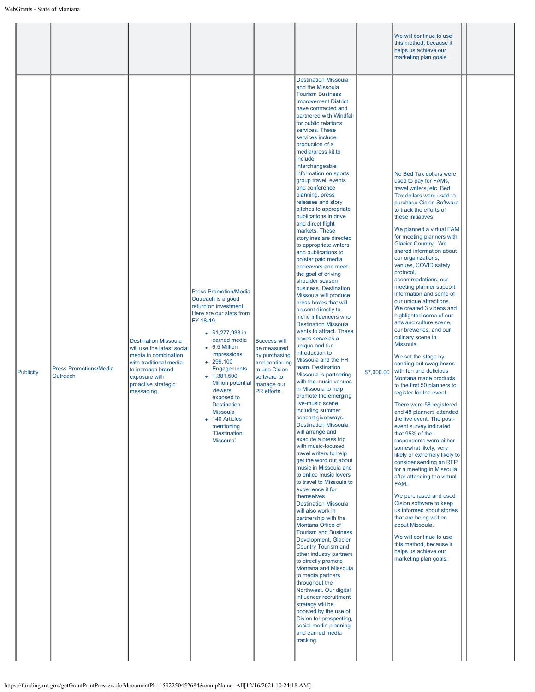|                  |                                           |                                                                                                                                                                                        |                                                                                                                                                                                                                                                                                                                                                                                                        |                                                                                                                                    |                                                                                                                                                                                                                                                                                                                                                                                                                                                                                                                                                                                                                                                                                                                                                                                                                                                                                                                                                                                                                                                                                                                                                                                                                                                                                                                                                                                                                                                                                                                                                                                                                                                                                                                                                                                                                                                                                                            |            | We will continue to use<br>this method, because it<br>helps us achieve our<br>marketing plan goals.                                                                                                                                                                                                                                                                                                                                                                                                                                                                                                                                                                                                                                                                                                                                                                                                                                                                                                                                                                                                                                                                                                                                                                                                                                       |  |
|------------------|-------------------------------------------|----------------------------------------------------------------------------------------------------------------------------------------------------------------------------------------|--------------------------------------------------------------------------------------------------------------------------------------------------------------------------------------------------------------------------------------------------------------------------------------------------------------------------------------------------------------------------------------------------------|------------------------------------------------------------------------------------------------------------------------------------|------------------------------------------------------------------------------------------------------------------------------------------------------------------------------------------------------------------------------------------------------------------------------------------------------------------------------------------------------------------------------------------------------------------------------------------------------------------------------------------------------------------------------------------------------------------------------------------------------------------------------------------------------------------------------------------------------------------------------------------------------------------------------------------------------------------------------------------------------------------------------------------------------------------------------------------------------------------------------------------------------------------------------------------------------------------------------------------------------------------------------------------------------------------------------------------------------------------------------------------------------------------------------------------------------------------------------------------------------------------------------------------------------------------------------------------------------------------------------------------------------------------------------------------------------------------------------------------------------------------------------------------------------------------------------------------------------------------------------------------------------------------------------------------------------------------------------------------------------------------------------------------------------------|------------|-------------------------------------------------------------------------------------------------------------------------------------------------------------------------------------------------------------------------------------------------------------------------------------------------------------------------------------------------------------------------------------------------------------------------------------------------------------------------------------------------------------------------------------------------------------------------------------------------------------------------------------------------------------------------------------------------------------------------------------------------------------------------------------------------------------------------------------------------------------------------------------------------------------------------------------------------------------------------------------------------------------------------------------------------------------------------------------------------------------------------------------------------------------------------------------------------------------------------------------------------------------------------------------------------------------------------------------------|--|
| <b>Publicity</b> | <b>Press Promotions/Media</b><br>Outreach | <b>Destination Missoula</b><br>will use the latest social<br>media in combination<br>with traditional media<br>to increase brand<br>exposure with<br>proactive strategic<br>messaging. | <b>Press Promotion/Media</b><br>Outreach is a good<br>return on investment.<br>Here are our stats from<br>FY 18-19.<br>$$1,277,933$ in<br>earned media<br>$\bullet$ 6.5 Million<br>impressions<br>$-299.100$<br><b>Engagements</b><br>$-1,381,500$<br><b>Million potential</b><br>viewers<br>exposed to<br><b>Destination</b><br>Missoula<br>• 140 Articles<br>mentioning<br>"Destination<br>Missoula" | <b>Success will</b><br>be measured<br>by purchasing<br>and continuing<br>to use Cision<br>software to<br>manage our<br>PR efforts. | <b>Destination Missoula</b><br>and the Missoula<br><b>Tourism Business</b><br><b>Improvement District</b><br>have contracted and<br>partnered with Windfall<br>for public relations<br>services. These<br>services include<br>production of a<br>media/press kit to<br>include<br>interchangeable<br>information on sports,<br>group travel, events<br>and conference<br>planning, press<br>releases and story<br>pitches to appropriate<br>publications in drive<br>and direct flight<br>markets. These<br>storylines are directed<br>to appropriate writers<br>and publications to<br>bolster paid media<br>endeavors and meet<br>the goal of driving<br>shoulder season<br>business. Destination<br>Missoula will produce<br>press boxes that will<br>be sent directly to<br>niche influencers who<br><b>Destination Missoula</b><br>wants to attract. These<br>boxes serve as a<br>unique and fun<br>introduction to<br>Missoula and the PR<br>team. Destination<br>Missoula is partnering<br>with the music venues<br>in Missoula to help<br>promote the emerging<br>live-music scene,<br>including summer<br>concert giveaways.<br><b>Destination Missoula</b><br>will arrange and<br>execute a press trip<br>with music-focused<br>travel writers to help<br>get the word out about<br>music in Missoula and<br>to entice music lovers<br>to travel to Missoula to<br>experience it for<br>themselves.<br><b>Destination Missoula</b><br>will also work in<br>partnership with the<br>Montana Office of<br><b>Tourism and Business</b><br>Development, Glacier<br><b>Country Tourism and</b><br>other industry partners<br>to directly promote<br>Montana and Missoula<br>to media partners<br>throughout the<br>Northwest. Our digital<br>influencer recruitment<br>strategy will be<br>boosted by the use of<br>Cision for prospecting,<br>social media planning<br>and earned media<br>tracking. | \$7,000.00 | No Bed Tax dollars were<br>used to pay for FAMs,<br>travel writers, etc. Bed<br>Tax dollars were used to<br>purchase Cision Software<br>to track the efforts of<br>these initiatives<br>We planned a virtual FAM<br>for meeting planners with<br>Glacier Country. We<br>shared information about<br>our organizations,<br>venues, COVID safety<br>protocol,<br>accommodations, our<br>meeting planner support<br>information and some of<br>our unique attractions.<br>We created 3 videos and<br>highlighted some of our<br>arts and culture scene,<br>our breweries, and our<br>culinary scene in<br>Missoula.<br>We set the stage by<br>sending out swag boxes<br>with fun and delicious<br>Montana made products<br>to the first 50 planners to<br>register for the event.<br>There were 58 registered<br>and 48 planners attended<br>the live event. The post-<br>event survey indicated<br>that 95% of the<br>respondents were either<br>somewhat likely, very<br>likely or extremely likely to<br>consider sending an RFP<br>for a meeting in Missoula<br>after attending the virtual<br>FAM.<br>We purchased and used<br>Cision software to keep<br>us informed about stories<br>that are being written<br>about Missoula.<br>We will continue to use<br>this method, because it<br>helps us achieve our<br>marketing plan goals. |  |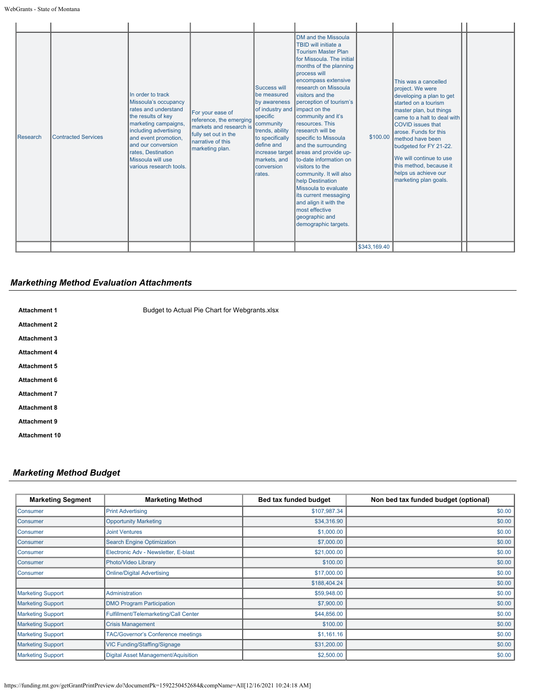## *Markething Method Evaluation Attachments*

| <b>Attachment 1</b>  | Budget to Actual Pie Chart for Webgrants.xlsx |
|----------------------|-----------------------------------------------|
| <b>Attachment 2</b>  |                                               |
| <b>Attachment 3</b>  |                                               |
| <b>Attachment 4</b>  |                                               |
| <b>Attachment 5</b>  |                                               |
| <b>Attachment 6</b>  |                                               |
| <b>Attachment 7</b>  |                                               |
| <b>Attachment 8</b>  |                                               |
| <b>Attachment 9</b>  |                                               |
| <b>Attachment 10</b> |                                               |
|                      |                                               |

# *Marketing Method Budget*

| <b>Marketing Segment</b> | <b>Marketing Method</b>                    | Bed tax funded budget | Non bed tax funded budget (optional) |
|--------------------------|--------------------------------------------|-----------------------|--------------------------------------|
| Consumer                 | <b>Print Advertising</b>                   | \$107,987.34          | \$0.00                               |
| <b>Consumer</b>          | <b>Opportunity Marketing</b>               | \$34,316.90           | \$0.00                               |
| <b>Consumer</b>          | <b>Joint Ventures</b>                      | \$1,000.00            | \$0.00                               |
| <b>Consumer</b>          | <b>Search Engine Optimization</b>          | \$7,000.00            | \$0.00                               |
| <b>Consumer</b>          | Electronic Adv - Newsletter, E-blast       | \$21,000.00           | \$0.00                               |
| <b>Consumer</b>          | Photo/Video Library                        | \$100.00              | \$0.00                               |
| Consumer                 | <b>Online/Digital Advertising</b>          | \$17,000.00           | \$0.00                               |
|                          |                                            | \$188,404.24          | \$0.00                               |
| <b>Marketing Support</b> | Administration                             | \$59,948.00           | \$0.00                               |
| <b>Marketing Support</b> | <b>DMO Program Participation</b>           | \$7,900.00            | \$0.00                               |
| <b>Marketing Support</b> | Fulfillment/Telemarketing/Call Center      | \$44,856.00           | \$0.00                               |
| <b>Marketing Support</b> | <b>Crisis Management</b>                   | \$100.00              | \$0.00                               |
| <b>Marketing Support</b> | <b>TAC/Governor's Conference meetings</b>  | \$1,161.16            | \$0.00                               |
| <b>Marketing Support</b> | VIC Funding/Staffing/Signage               | \$31,200.00           | \$0.00                               |
| <b>Marketing Support</b> | <b>Digital Asset Management/Aquisition</b> | \$2,500.00            | \$0.00                               |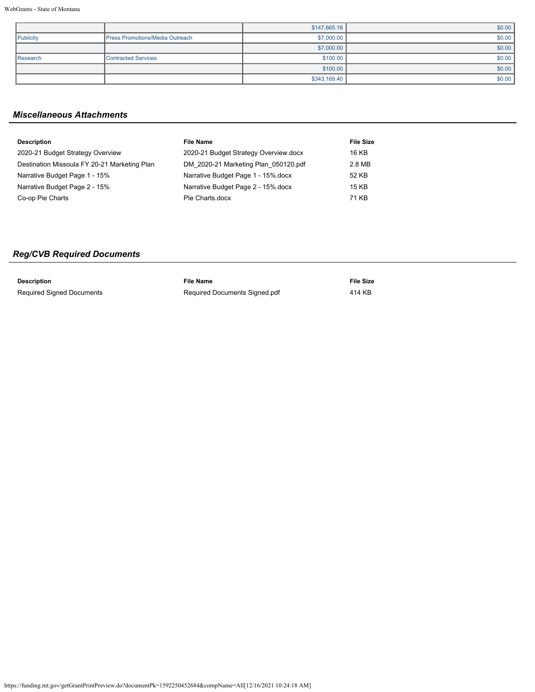|           |                                 | \$147,665.16 | \$0.00 |
|-----------|---------------------------------|--------------|--------|
| Publicity | Press Promotions/Media Outreach | \$7,000.00   | \$0.00 |
|           |                                 | \$7,000.00   | \$0.00 |
| Research  | <b>Contracted Services</b>      | \$100.00     | \$0.00 |
|           |                                 | \$100.00     | \$0.00 |
|           |                                 | \$343,169.40 | \$0.00 |

# *Miscellaneous Attachments*

| <b>Description</b>                           | <b>File Name</b>                      | <b>File Size</b> |
|----------------------------------------------|---------------------------------------|------------------|
| 2020-21 Budget Strategy Overview             | 2020-21 Budget Strategy Overview.docx | 16 KB            |
| Destination Missoula FY 20-21 Marketing Plan | DM 2020-21 Marketing Plan 050120.pdf  | 2.8 MB           |
| Narrative Budget Page 1 - 15%                | Narrative Budget Page 1 - 15% docx    | 52 KB            |
| Narrative Budget Page 2 - 15%                | Narrative Budget Page 2 - 15% docx    | 15 KB            |
| Co-op Pie Charts                             | Ple Charts.docx                       | 71 KB            |

# *Reg/CVB Required Documents*

| <b>Description</b>               | <b>File Name</b>              | <b>File Size</b> |
|----------------------------------|-------------------------------|------------------|
| <b>Required Signed Documents</b> | Required Documents Signed.pdf | 414 KB           |